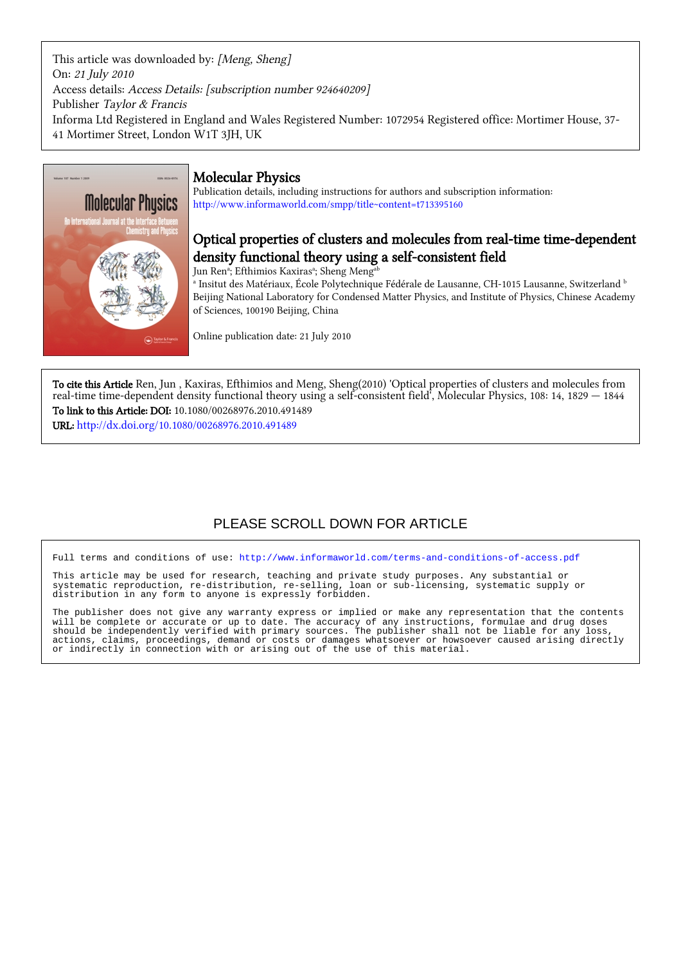This article was downloaded by: [Meng, Sheng] On: 21 July 2010 Access details: Access Details: [subscription number 924640209] Publisher Taylor & Francis Informa Ltd Registered in England and Wales Registered Number: 1072954 Registered office: Mortimer House, 37- 41 Mortimer Street, London W1T 3JH, UK



# Molecular Physics

Publication details, including instructions for authors and subscription information: <http://www.informaworld.com/smpp/title~content=t713395160>

# Optical properties of clusters and molecules from real-time time-dependent density functional theory using a self-consistent field

Jun Renª; Efthimios Kaxirasª; Sheng Meng<sup>ab</sup>

d Insitut des Matériaux, École Polytechnique Fédérale de Lausanne, CH-1015 Lausanne, Switzerland b ه Beijing National Laboratory for Condensed Matter Physics, and Institute of Physics, Chinese Academy of Sciences, 100190 Beijing, China

Online publication date: 21 July 2010

To cite this Article Ren, Jun , Kaxiras, Efthimios and Meng, Sheng(2010) 'Optical properties of clusters and molecules from real-time time-dependent density functional theory using a self-consistent field', Molecular Physics, 108: 14, 1829 — 1844 To link to this Article: DOI: 10.1080/00268976.2010.491489

URL: <http://dx.doi.org/10.1080/00268976.2010.491489>

# PLEASE SCROLL DOWN FOR ARTICLE

Full terms and conditions of use:<http://www.informaworld.com/terms-and-conditions-of-access.pdf>

This article may be used for research, teaching and private study purposes. Any substantial or systematic reproduction, re-distribution, re-selling, loan or sub-licensing, systematic supply or distribution in any form to anyone is expressly forbidden.

The publisher does not give any warranty express or implied or make any representation that the contents will be complete or accurate or up to date. The accuracy of any instructions, formulae and drug doses should be independently verified with primary sources. The publisher shall not be liable for any loss, actions, claims, proceedings, demand or costs or damages whatsoever or howsoever caused arising directly or indirectly in connection with or arising out of the use of this material.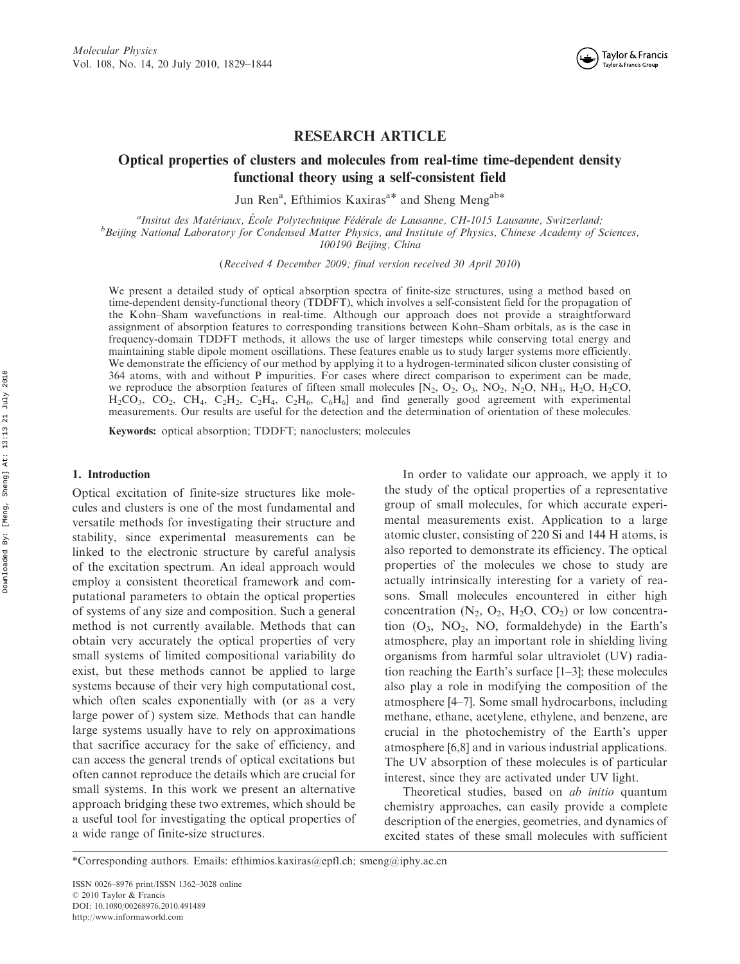

# RESEARCH ARTICLE

# Optical properties of clusters and molecules from real-time time-dependent density functional theory using a self-consistent field

Jun Ren<sup>a</sup>, Efthimios Kaxiras<sup>a\*</sup> and Sheng Meng<sup>ab\*</sup>

<sup>a</sup>Insitut des Matériaux, École Polytechnique Fédérale de Lausanne, CH-1015 Lausanne, Switzerland;<br>b Rejing National Laboratory for Condensed Matter Physics, and Institute of Physics, Chinese Academy of S <sup>b</sup>Beijing National Laboratory for Condensed Matter Physics, and Institute of Physics, Chinese Academy of Sciences, 100190 Beijing, China

(Received 4 December 2009; final version received 30 April 2010)

We present a detailed study of optical absorption spectra of finite-size structures, using a method based on time-dependent density-functional theory (TDDFT), which involves a self-consistent field for the propagation of the Kohn–Sham wavefunctions in real-time. Although our approach does not provide a straightforward assignment of absorption features to corresponding transitions between Kohn–Sham orbitals, as is the case in frequency-domain TDDFT methods, it allows the use of larger timesteps while conserving total energy and maintaining stable dipole moment oscillations. These features enable us to study larger systems more efficiently. We demonstrate the efficiency of our method by applying it to a hydrogen-terminated silicon cluster consisting of 364 atoms, with and without P impurities. For cases where direct comparison to experiment can be made, we reproduce the absorption features of fifteen small molecules  $[N_2, O_2, O_3, NO_2, N_2O, NH_3, H_2O, H_2CO$  $H_2CO_3$ ,  $CO_2$ ,  $CH_4$ ,  $C_2H_2$ ,  $C_2H_4$ ,  $C_2H_6$ ,  $C_6H_6$ ] and find generally good agreement with experimental measurements. Our results are useful for the detection and the determination of orientation of these molecules.

Keywords: optical absorption; TDDFT; nanoclusters; molecules

#### 1. Introduction

Optical excitation of finite-size structures like molecules and clusters is one of the most fundamental and versatile methods for investigating their structure and stability, since experimental measurements can be linked to the electronic structure by careful analysis of the excitation spectrum. An ideal approach would employ a consistent theoretical framework and computational parameters to obtain the optical properties of systems of any size and composition. Such a general method is not currently available. Methods that can obtain very accurately the optical properties of very small systems of limited compositional variability do exist, but these methods cannot be applied to large systems because of their very high computational cost, which often scales exponentially with (or as a very large power of ) system size. Methods that can handle large systems usually have to rely on approximations that sacrifice accuracy for the sake of efficiency, and can access the general trends of optical excitations but often cannot reproduce the details which are crucial for small systems. In this work we present an alternative approach bridging these two extremes, which should be a useful tool for investigating the optical properties of a wide range of finite-size structures.

In order to validate our approach, we apply it to the study of the optical properties of a representative group of small molecules, for which accurate experimental measurements exist. Application to a large atomic cluster, consisting of 220 Si and 144 H atoms, is also reported to demonstrate its efficiency. The optical properties of the molecules we chose to study are actually intrinsically interesting for a variety of reasons. Small molecules encountered in either high concentration  $(N_2, O_2, H_2O, CO_2)$  or low concentration  $(O_3, NO_2, NO, formaldehyde)$  in the Earth's atmosphere, play an important role in shielding living organisms from harmful solar ultraviolet (UV) radiation reaching the Earth's surface [1–3]; these molecules also play a role in modifying the composition of the atmosphere [4–7]. Some small hydrocarbons, including methane, ethane, acetylene, ethylene, and benzene, are crucial in the photochemistry of the Earth's upper atmosphere [6,8] and in various industrial applications. The UV absorption of these molecules is of particular interest, since they are activated under UV light.

Theoretical studies, based on *ab initio* quantum chemistry approaches, can easily provide a complete description of the energies, geometries, and dynamics of excited states of these small molecules with sufficient

<sup>\*</sup>Corresponding authors. Emails: efthimios.kaxiras@epfl.ch; smeng@iphy.ac.cn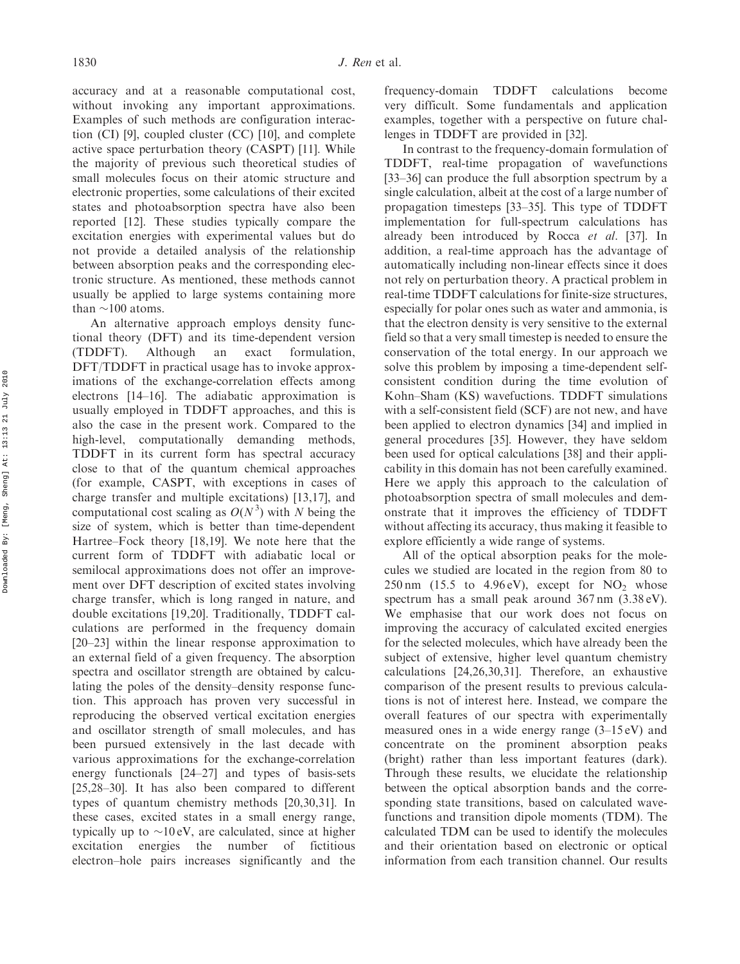accuracy and at a reasonable computational cost, without invoking any important approximations. Examples of such methods are configuration interaction (CI) [9], coupled cluster (CC) [10], and complete active space perturbation theory (CASPT) [11]. While the majority of previous such theoretical studies of small molecules focus on their atomic structure and electronic properties, some calculations of their excited states and photoabsorption spectra have also been reported [12]. These studies typically compare the excitation energies with experimental values but do not provide a detailed analysis of the relationship between absorption peaks and the corresponding electronic structure. As mentioned, these methods cannot usually be applied to large systems containing more than  $\sim$ 100 atoms.

An alternative approach employs density functional theory (DFT) and its time-dependent version (TDDFT). Although an exact formulation, DFT/TDDFT in practical usage has to invoke approximations of the exchange-correlation effects among electrons [14–16]. The adiabatic approximation is usually employed in TDDFT approaches, and this is also the case in the present work. Compared to the high-level, computationally demanding methods, TDDFT in its current form has spectral accuracy close to that of the quantum chemical approaches (for example, CASPT, with exceptions in cases of charge transfer and multiple excitations) [13,17], and computational cost scaling as  $O(N^3)$  with N being the size of system, which is better than time-dependent Hartree–Fock theory [18,19]. We note here that the current form of TDDFT with adiabatic local or semilocal approximations does not offer an improvement over DFT description of excited states involving charge transfer, which is long ranged in nature, and double excitations [19,20]. Traditionally, TDDFT calculations are performed in the frequency domain [20–23] within the linear response approximation to an external field of a given frequency. The absorption spectra and oscillator strength are obtained by calculating the poles of the density–density response function. This approach has proven very successful in reproducing the observed vertical excitation energies and oscillator strength of small molecules, and has been pursued extensively in the last decade with various approximations for the exchange-correlation energy functionals [24–27] and types of basis-sets [25,28–30]. It has also been compared to different types of quantum chemistry methods [20,30,31]. In these cases, excited states in a small energy range, typically up to  $\sim$ 10 eV, are calculated, since at higher excitation energies the number of fictitious electron–hole pairs increases significantly and the

frequency-domain TDDFT calculations become very difficult. Some fundamentals and application examples, together with a perspective on future challenges in TDDFT are provided in [32].

In contrast to the frequency-domain formulation of TDDFT, real-time propagation of wavefunctions [33–36] can produce the full absorption spectrum by a single calculation, albeit at the cost of a large number of propagation timesteps [33–35]. This type of TDDFT implementation for full-spectrum calculations has already been introduced by Rocca et al. [37]. In addition, a real-time approach has the advantage of automatically including non-linear effects since it does not rely on perturbation theory. A practical problem in real-time TDDFT calculations for finite-size structures, especially for polar ones such as water and ammonia, is that the electron density is very sensitive to the external field so that a very small timestep is needed to ensure the conservation of the total energy. In our approach we solve this problem by imposing a time-dependent selfconsistent condition during the time evolution of Kohn–Sham (KS) wavefuctions. TDDFT simulations with a self-consistent field (SCF) are not new, and have been applied to electron dynamics [34] and implied in general procedures [35]. However, they have seldom been used for optical calculations [38] and their applicability in this domain has not been carefully examined. Here we apply this approach to the calculation of photoabsorption spectra of small molecules and demonstrate that it improves the efficiency of TDDFT without affecting its accuracy, thus making it feasible to explore efficiently a wide range of systems.

All of the optical absorption peaks for the molecules we studied are located in the region from 80 to  $250 \text{ nm}$  (15.5 to 4.96 eV), except for  $NO<sub>2</sub>$  whose spectrum has a small peak around 367 nm (3.38 eV). We emphasise that our work does not focus on improving the accuracy of calculated excited energies for the selected molecules, which have already been the subject of extensive, higher level quantum chemistry calculations [24,26,30,31]. Therefore, an exhaustive comparison of the present results to previous calculations is not of interest here. Instead, we compare the overall features of our spectra with experimentally measured ones in a wide energy range (3–15 eV) and concentrate on the prominent absorption peaks (bright) rather than less important features (dark). Through these results, we elucidate the relationship between the optical absorption bands and the corresponding state transitions, based on calculated wavefunctions and transition dipole moments (TDM). The calculated TDM can be used to identify the molecules and their orientation based on electronic or optical information from each transition channel. Our results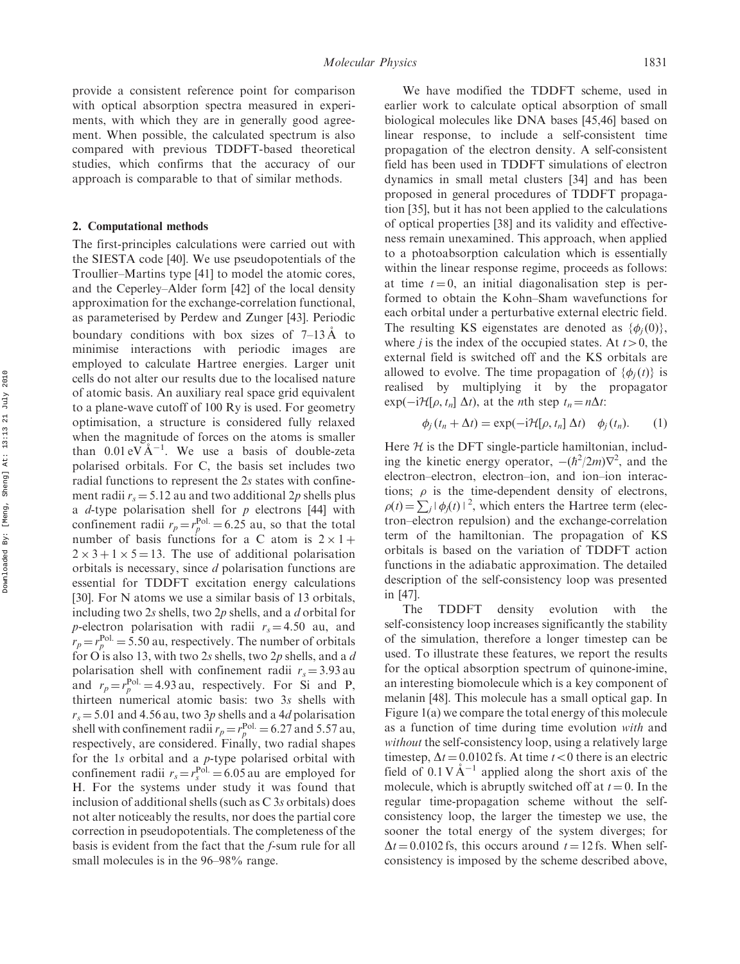provide a consistent reference point for comparison with optical absorption spectra measured in experiments, with which they are in generally good agreement. When possible, the calculated spectrum is also compared with previous TDDFT-based theoretical studies, which confirms that the accuracy of our approach is comparable to that of similar methods.

### 2. Computational methods

The first-principles calculations were carried out with the SIESTA code [40]. We use pseudopotentials of the Troullier–Martins type [41] to model the atomic cores, and the Ceperley–Alder form [42] of the local density approximation for the exchange-correlation functional, as parameterised by Perdew and Zunger [43]. Periodic boundary conditions with box sizes of  $7-13 \text{ Å}$  to minimise interactions with periodic images are employed to calculate Hartree energies. Larger unit cells do not alter our results due to the localised nature of atomic basis. An auxiliary real space grid equivalent to a plane-wave cutoff of 100 Ry is used. For geometry optimisation, a structure is considered fully relaxed when the magnitude of forces on the atoms is smaller than  $0.01 \text{ eV} \text{Å}^{-1}$ . We use a basis of double-zeta polarised orbitals. For C, the basis set includes two radial functions to represent the 2s states with confinement radii  $r_s = 5.12$  au and two additional 2p shells plus a *d*-type polarisation shell for  $p$  electrons [44] with confinement radii  $r_p = r_p^{\text{Pol.}} = 6.25$  au, so that the total number of basis functions for a C atom is  $2 \times 1 +$  $2 \times 3 + 1 \times 5 = 13$ . The use of additional polarisation orbitals is necessary, since d polarisation functions are essential for TDDFT excitation energy calculations [30]. For N atoms we use a similar basis of 13 orbitals, including two  $2s$  shells, two  $2p$  shells, and a d orbital for p-electron polarisation with radii  $r_s = 4.50$  au, and  $r_p = r_p^{\text{Pol.}} = 5.50$  au, respectively. The number of orbitals for O is also 13, with two 2s shells, two 2p shells, and a d polarisation shell with confinement radii  $r_s = 3.93$  au and  $r_p = r_p^{\text{Pol.}} = 4.93 \text{ au}$ , respectively. For Si and P, thirteen numerical atomic basis: two 3s shells with  $r_s = 5.01$  and 4.56 au, two 3p shells and a 4d polarisation shell with confinement radii  $r_p = r_p^{\text{Pol.}} = 6.27$  and 5.57 au, respectively, are considered. Finally, two radial shapes for the 1s orbital and a p-type polarised orbital with confinement radii  $r_s = r_s^{\text{Pol.}} = 6.05$  au are employed for H. For the systems under study it was found that inclusion of additional shells (such as C 3s orbitals) does not alter noticeably the results, nor does the partial core correction in pseudopotentials. The completeness of the basis is evident from the fact that the f-sum rule for all small molecules is in the 96–98% range.

We have modified the TDDFT scheme, used in earlier work to calculate optical absorption of small biological molecules like DNA bases [45,46] based on linear response, to include a self-consistent time propagation of the electron density. A self-consistent field has been used in TDDFT simulations of electron dynamics in small metal clusters [34] and has been proposed in general procedures of TDDFT propagation [35], but it has not been applied to the calculations of optical properties [38] and its validity and effectiveness remain unexamined. This approach, when applied to a photoabsorption calculation which is essentially within the linear response regime, proceeds as follows: at time  $t = 0$ , an initial diagonalisation step is performed to obtain the Kohn–Sham wavefunctions for each orbital under a perturbative external electric field. The resulting KS eigenstates are denoted as  $\{\phi_j(0)\},\$ where *j* is the index of the occupied states. At  $t>0$ , the external field is switched off and the KS orbitals are allowed to evolve. The time propagation of  $\{\phi_j(t)\}\$ is realised by multiplying it by the propagator  $exp(-i\mathcal{H}[\rho, t_n] \Delta t)$ , at the *n*th step  $t_n = n\Delta t$ :

$$
\phi_j(t_n + \Delta t) = \exp(-i\mathcal{H}[\rho, t_n] \Delta t) \quad \phi_j(t_n). \tag{1}
$$

Here  $H$  is the DFT single-particle hamiltonian, including the kinetic energy operator,  $-(\hbar^2/2m)\nabla^2$ , and the electron–electron, electron–ion, and ion–ion interactions;  $\rho$  is the time-dependent density of electrons,  $\rho(t) = \sum_j |\phi_j(t)|^2$ , which enters the Hartree term (electron–electron repulsion) and the exchange-correlation term of the hamiltonian. The propagation of KS orbitals is based on the variation of TDDFT action functions in the adiabatic approximation. The detailed description of the self-consistency loop was presented in [47].

The TDDFT density evolution with the self-consistency loop increases significantly the stability of the simulation, therefore a longer timestep can be used. To illustrate these features, we report the results for the optical absorption spectrum of quinone-imine, an interesting biomolecule which is a key component of melanin [48]. This molecule has a small optical gap. In Figure 1(a) we compare the total energy of this molecule as a function of time during time evolution with and without the self-consistency loop, using a relatively large timestep,  $\Delta t = 0.0102$  fs. At time  $t < 0$  there is an electric field of  $0.1 \text{ V} \text{Å}^{-1}$  applied along the short axis of the molecule, which is abruptly switched off at  $t = 0$ . In the regular time-propagation scheme without the selfconsistency loop, the larger the timestep we use, the sooner the total energy of the system diverges; for  $\Delta t = 0.0102$  fs, this occurs around  $t = 12$  fs. When selfconsistency is imposed by the scheme described above,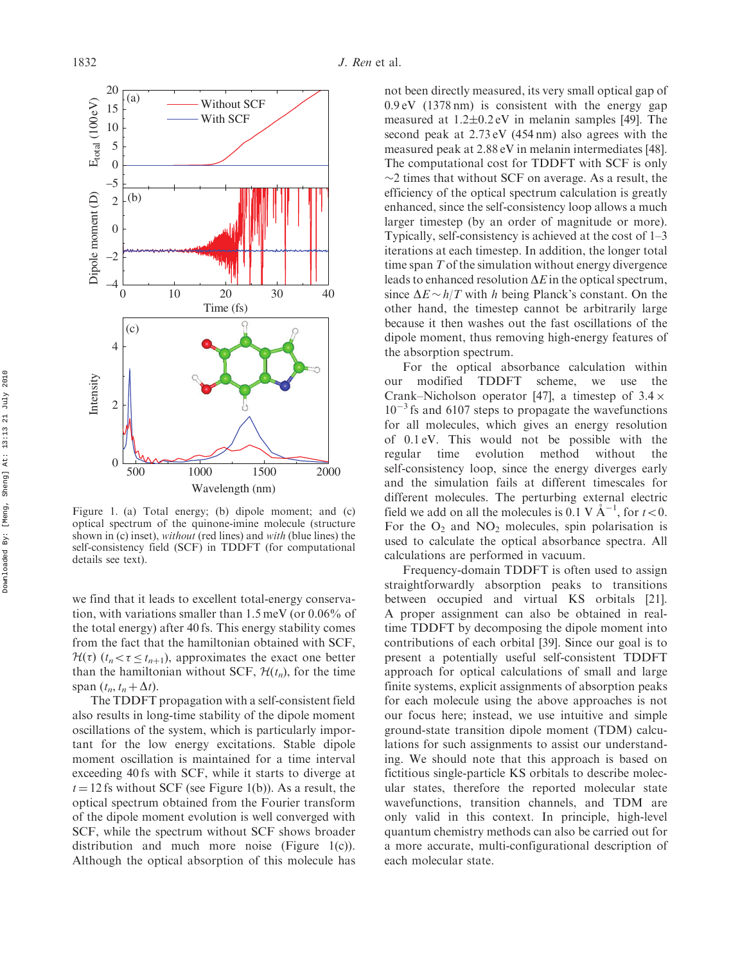

Figure 1. (a) Total energy; (b) dipole moment; and (c) optical spectrum of the quinone-imine molecule (structure shown in (c) inset), *without* (red lines) and *with* (blue lines) the self-consistency field (SCF) in TDDFT (for computational details see text).

we find that it leads to excellent total-energy conservation, with variations smaller than 1.5 meV (or 0.06% of the total energy) after 40 fs. This energy stability comes from the fact that the hamiltonian obtained with SCF,  $H(\tau)$  ( $t_n < \tau \leq t_{n+1}$ ), approximates the exact one better than the hamiltonian without SCF,  $\mathcal{H}(t_n)$ , for the time span  $(t_n, t_n + \Delta t)$ .

The TDDFT propagation with a self-consistent field also results in long-time stability of the dipole moment oscillations of the system, which is particularly important for the low energy excitations. Stable dipole moment oscillation is maintained for a time interval exceeding 40 fs with SCF, while it starts to diverge at  $t = 12$  fs without SCF (see Figure 1(b)). As a result, the optical spectrum obtained from the Fourier transform of the dipole moment evolution is well converged with SCF, while the spectrum without SCF shows broader distribution and much more noise (Figure 1(c)). Although the optical absorption of this molecule has not been directly measured, its very small optical gap of 0.9 eV (1378 nm) is consistent with the energy gap measured at  $1.2\pm0.2$  eV in melanin samples [49]. The second peak at 2.73 eV (454 nm) also agrees with the measured peak at 2.88 eV in melanin intermediates [48]. The computational cost for TDDFT with SCF is only  $\sim$ 2 times that without SCF on average. As a result, the efficiency of the optical spectrum calculation is greatly enhanced, since the self-consistency loop allows a much larger timestep (by an order of magnitude or more). Typically, self-consistency is achieved at the cost of 1–3 iterations at each timestep. In addition, the longer total time span T of the simulation without energy divergence leads to enhanced resolution  $\Delta E$  in the optical spectrum, since  $\Delta E \sim h/T$  with h being Planck's constant. On the other hand, the timestep cannot be arbitrarily large because it then washes out the fast oscillations of the dipole moment, thus removing high-energy features of the absorption spectrum.

For the optical absorbance calculation within our modified TDDFT scheme, we use the Crank–Nicholson operator [47], a timestep of  $3.4 \times$  $10^{-3}$  fs and 6107 steps to propagate the wavefunctions for all molecules, which gives an energy resolution of 0.1 eV. This would not be possible with the regular time evolution method without the self-consistency loop, since the energy diverges early and the simulation fails at different timescales for different molecules. The perturbing external electric field we add on all the molecules is 0.1 V  $\AA^{-1}$ , for  $t<0$ . For the  $O_2$  and  $NO_2$  molecules, spin polarisation is used to calculate the optical absorbance spectra. All calculations are performed in vacuum.

Frequency-domain TDDFT is often used to assign straightforwardly absorption peaks to transitions between occupied and virtual KS orbitals [21]. A proper assignment can also be obtained in realtime TDDFT by decomposing the dipole moment into contributions of each orbital [39]. Since our goal is to present a potentially useful self-consistent TDDFT approach for optical calculations of small and large finite systems, explicit assignments of absorption peaks for each molecule using the above approaches is not our focus here; instead, we use intuitive and simple ground-state transition dipole moment (TDM) calculations for such assignments to assist our understanding. We should note that this approach is based on fictitious single-particle KS orbitals to describe molecular states, therefore the reported molecular state wavefunctions, transition channels, and TDM are only valid in this context. In principle, high-level quantum chemistry methods can also be carried out for a more accurate, multi-configurational description of each molecular state.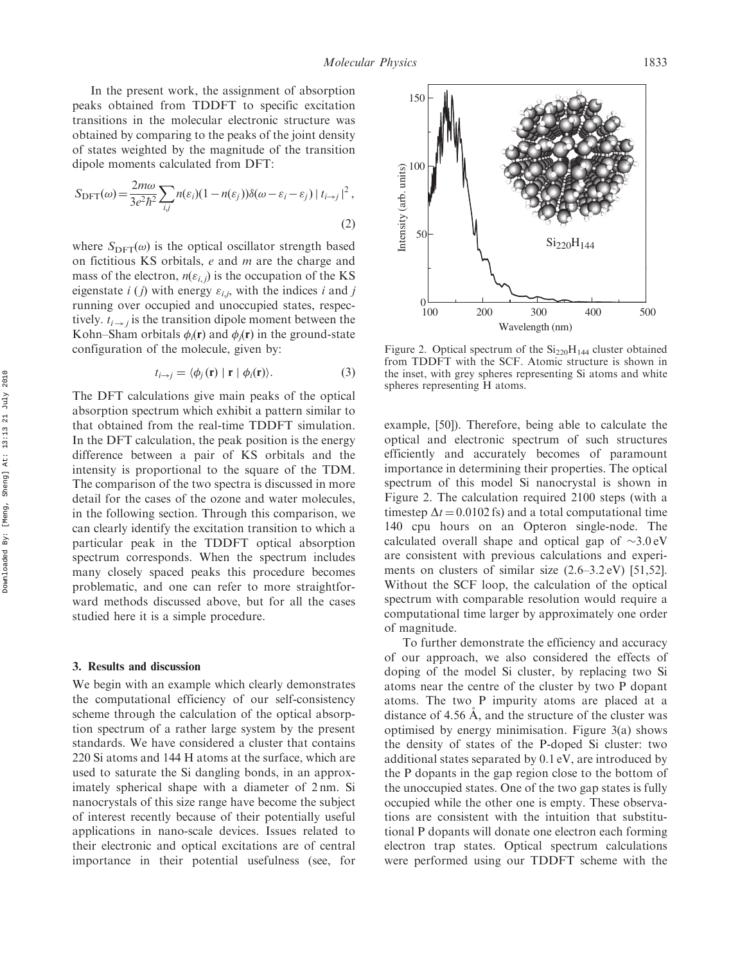In the present work, the assignment of absorption peaks obtained from TDDFT to specific excitation transitions in the molecular electronic structure was obtained by comparing to the peaks of the joint density of states weighted by the magnitude of the transition dipole moments calculated from DFT:

$$
S_{\text{DFT}}(\omega) = \frac{2m\omega}{3e^2\hbar^2} \sum_{i,j} n(\varepsilon_i)(1 - n(\varepsilon_j))\delta(\omega - \varepsilon_i - \varepsilon_j) |t_{i \to j}|^2,
$$
\n(2)

where  $S_{\text{DFT}}(\omega)$  is the optical oscillator strength based on fictitious KS orbitals,  $e$  and  $m$  are the charge and mass of the electron,  $n(\varepsilon_{i,j})$  is the occupation of the KS eigenstate  $i(j)$  with energy  $\varepsilon_{i,j}$ , with the indices i and j running over occupied and unoccupied states, respectively.  $t_{i \rightarrow i}$  is the transition dipole moment between the Kohn–Sham orbitals  $\phi_i(\mathbf{r})$  and  $\phi_j(\mathbf{r})$  in the ground-state configuration of the molecule, given by:

$$
t_{i \to j} = \langle \phi_j(\mathbf{r}) \mid \mathbf{r} \mid \phi_i(\mathbf{r}) \rangle.
$$
 (3)

The DFT calculations give main peaks of the optical absorption spectrum which exhibit a pattern similar to that obtained from the real-time TDDFT simulation. In the DFT calculation, the peak position is the energy difference between a pair of KS orbitals and the intensity is proportional to the square of the TDM. The comparison of the two spectra is discussed in more detail for the cases of the ozone and water molecules, in the following section. Through this comparison, we can clearly identify the excitation transition to which a particular peak in the TDDFT optical absorption spectrum corresponds. When the spectrum includes many closely spaced peaks this procedure becomes problematic, and one can refer to more straightforward methods discussed above, but for all the cases studied here it is a simple procedure.

#### 3. Results and discussion

We begin with an example which clearly demonstrates the computational efficiency of our self-consistency scheme through the calculation of the optical absorption spectrum of a rather large system by the present standards. We have considered a cluster that contains 220 Si atoms and 144 H atoms at the surface, which are used to saturate the Si dangling bonds, in an approximately spherical shape with a diameter of 2 nm. Si nanocrystals of this size range have become the subject of interest recently because of their potentially useful applications in nano-scale devices. Issues related to their electronic and optical excitations are of central importance in their potential usefulness (see, for



Figure 2. Optical spectrum of the  $\rm Si_{220}H_{144}$  cluster obtained from TDDFT with the SCF. Atomic structure is shown in the inset, with grey spheres representing Si atoms and white spheres representing H atoms.

example, [50]). Therefore, being able to calculate the optical and electronic spectrum of such structures efficiently and accurately becomes of paramount importance in determining their properties. The optical spectrum of this model Si nanocrystal is shown in Figure 2. The calculation required 2100 steps (with a timestep  $\Delta t = 0.0102$  fs) and a total computational time 140 cpu hours on an Opteron single-node. The calculated overall shape and optical gap of  $\sim 3.0 \text{ eV}$ are consistent with previous calculations and experiments on clusters of similar size (2.6–3.2 eV) [51,52]. Without the SCF loop, the calculation of the optical spectrum with comparable resolution would require a computational time larger by approximately one order of magnitude.

To further demonstrate the efficiency and accuracy of our approach, we also considered the effects of doping of the model Si cluster, by replacing two Si atoms near the centre of the cluster by two P dopant atoms. The two P impurity atoms are placed at a distance of 4.56  $\AA$ , and the structure of the cluster was optimised by energy minimisation. Figure 3(a) shows the density of states of the P-doped Si cluster: two additional states separated by 0.1 eV, are introduced by the P dopants in the gap region close to the bottom of the unoccupied states. One of the two gap states is fully occupied while the other one is empty. These observations are consistent with the intuition that substitutional P dopants will donate one electron each forming electron trap states. Optical spectrum calculations were performed using our TDDFT scheme with the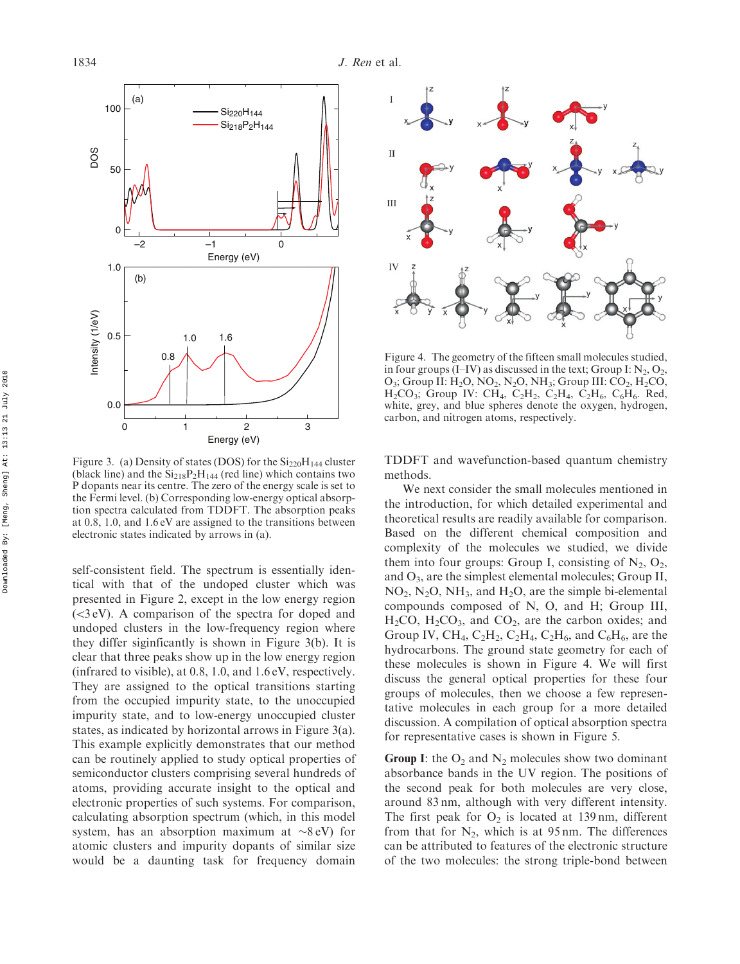

Figure 3. (a) Density of states (DOS) for the  $Si<sub>220</sub>H<sub>144</sub>$  cluster (black line) and the  $Si<sub>218</sub>P<sub>2</sub>H<sub>144</sub>$  (red line) which contains two P dopants near its centre. The zero of the energy scale is set to the Fermi level. (b) Corresponding low-energy optical absorption spectra calculated from TDDFT. The absorption peaks at 0.8, 1.0, and 1.6 eV are assigned to the transitions between electronic states indicated by arrows in (a).

self-consistent field. The spectrum is essentially identical with that of the undoped cluster which was presented in Figure 2, except in the low energy region  $( $3$ eV)$ . A comparison of the spectra for doped and undoped clusters in the low-frequency region where they differ siginficantly is shown in Figure 3(b). It is clear that three peaks show up in the low energy region (infrared to visible), at 0.8, 1.0, and 1.6 eV, respectively. They are assigned to the optical transitions starting from the occupied impurity state, to the unoccupied impurity state, and to low-energy unoccupied cluster states, as indicated by horizontal arrows in Figure 3(a). This example explicitly demonstrates that our method can be routinely applied to study optical properties of semiconductor clusters comprising several hundreds of atoms, providing accurate insight to the optical and electronic properties of such systems. For comparison, calculating absorption spectrum (which, in this model system, has an absorption maximum at  $\sim$ 8 eV) for atomic clusters and impurity dopants of similar size would be a daunting task for frequency domain



Figure 4. The geometry of the fifteen small molecules studied, in four groups  $(I-V)$  as discussed in the text; Group I:  $N_2$ ,  $O_2$ ,  $O_3$ ; Group II:  $H_2O$ , NO<sub>2</sub>, N<sub>2</sub>O, NH<sub>3</sub>; Group III: CO<sub>2</sub>, H<sub>2</sub>CO, H<sub>2</sub>CO<sub>3</sub>; Group IV: CH<sub>4</sub>, C<sub>2</sub>H<sub>2</sub>, C<sub>2</sub>H<sub>4</sub>, C<sub>2</sub>H<sub>6</sub>, C<sub>6</sub>H<sub>6</sub>. Red, white, grey, and blue spheres denote the oxygen, hydrogen, carbon, and nitrogen atoms, respectively.

TDDFT and wavefunction-based quantum chemistry methods.

We next consider the small molecules mentioned in the introduction, for which detailed experimental and theoretical results are readily available for comparison. Based on the different chemical composition and complexity of the molecules we studied, we divide them into four groups: Group I, consisting of  $N_2$ ,  $O_2$ , and  $O_3$ , are the simplest elemental molecules; Group II,  $NO<sub>2</sub>, N<sub>2</sub>O, NH<sub>3</sub>$ , and  $H<sub>2</sub>O$ , are the simple bi-elemental compounds composed of N, O, and H; Group III,  $H<sub>2</sub>CO$ ,  $H<sub>2</sub>CO<sub>3</sub>$ , and  $CO<sub>2</sub>$ , are the carbon oxides; and Group IV, CH<sub>4</sub>, C<sub>2</sub>H<sub>2</sub>, C<sub>2</sub>H<sub>4</sub>, C<sub>2</sub>H<sub>6</sub>, and C<sub>6</sub>H<sub>6</sub>, are the hydrocarbons. The ground state geometry for each of these molecules is shown in Figure 4. We will first discuss the general optical properties for these four groups of molecules, then we choose a few representative molecules in each group for a more detailed discussion. A compilation of optical absorption spectra for representative cases is shown in Figure 5.

**Group I:** the  $O_2$  and  $N_2$  molecules show two dominant absorbance bands in the UV region. The positions of the second peak for both molecules are very close, around 83 nm, although with very different intensity. The first peak for  $O_2$  is located at 139 nm, different from that for  $N_2$ , which is at 95 nm. The differences can be attributed to features of the electronic structure of the two molecules: the strong triple-bond between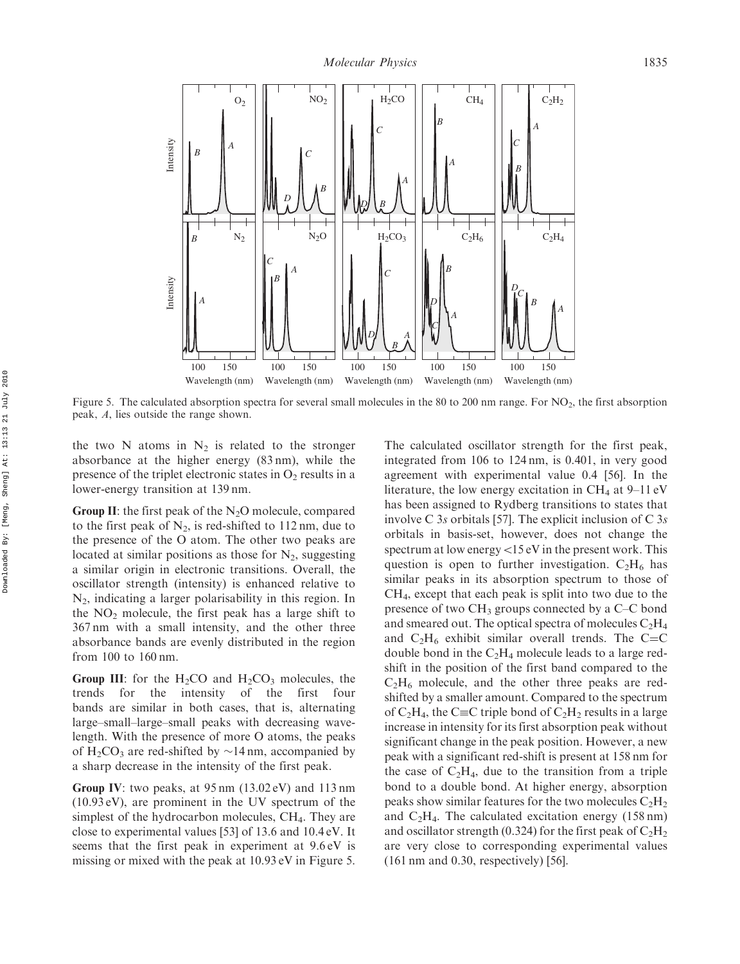

Figure 5. The calculated absorption spectra for several small molecules in the 80 to 200 nm range. For NO<sub>2</sub>, the first absorption peak, A, lies outside the range shown.

the two N atoms in  $N_2$  is related to the stronger absorbance at the higher energy (83 nm), while the presence of the triplet electronic states in  $O<sub>2</sub>$  results in a lower-energy transition at 139 nm.

Group II: the first peak of the  $N_2O$  molecule, compared to the first peak of  $N_2$ , is red-shifted to 112 nm, due to the presence of the O atom. The other two peaks are located at similar positions as those for  $N_2$ , suggesting a similar origin in electronic transitions. Overall, the oscillator strength (intensity) is enhanced relative to  $N_2$ , indicating a larger polarisability in this region. In the  $NO<sub>2</sub>$  molecule, the first peak has a large shift to 367 nm with a small intensity, and the other three absorbance bands are evenly distributed in the region from 100 to 160 nm.

Group III: for the  $H_2CO$  and  $H_2CO_3$  molecules, the trends for the intensity of the first four bands are similar in both cases, that is, alternating large–small–large–small peaks with decreasing wavelength. With the presence of more O atoms, the peaks of  $H_2CO_3$  are red-shifted by  $\sim$ 14 nm, accompanied by a sharp decrease in the intensity of the first peak.

Group IV: two peaks, at 95 nm (13.02 eV) and 113 nm (10.93 eV), are prominent in the UV spectrum of the simplest of the hydrocarbon molecules, CH<sub>4</sub>. They are close to experimental values [53] of 13.6 and 10.4 eV. It seems that the first peak in experiment at 9.6 eV is missing or mixed with the peak at 10.93 eV in Figure 5.

The calculated oscillator strength for the first peak, integrated from 106 to 124 nm, is 0.401, in very good agreement with experimental value 0.4 [56]. In the literature, the low energy excitation in  $CH_4$  at 9–11 eV has been assigned to Rydberg transitions to states that involve C  $3s$  orbitals [57]. The explicit inclusion of C  $3s$ orbitals in basis-set, however, does not change the spectrum at low energy  $<$ 15 eV in the present work. This question is open to further investigation.  $C_2H_6$  has similar peaks in its absorption spectrum to those of CH4, except that each peak is split into two due to the presence of two  $CH_3$  groups connected by a C–C bond and smeared out. The optical spectra of molecules  $C_2H_4$ and  $C_2H_6$  exhibit similar overall trends. The C=C double bond in the  $C_2H_4$  molecule leads to a large redshift in the position of the first band compared to the  $C_2H_6$  molecule, and the other three peaks are redshifted by a smaller amount. Compared to the spectrum of  $C_2H_4$ , the C=C triple bond of  $C_2H_2$  results in a large increase in intensity for its first absorption peak without significant change in the peak position. However, a new peak with a significant red-shift is present at 158 nm for the case of  $C_2H_4$ , due to the transition from a triple bond to a double bond. At higher energy, absorption peaks show similar features for the two molecules  $C_2H_2$ and  $C_2H_4$ . The calculated excitation energy (158 nm) and oscillator strength (0.324) for the first peak of  $C_2H_2$ are very close to corresponding experimental values (161 nm and 0.30, respectively) [56].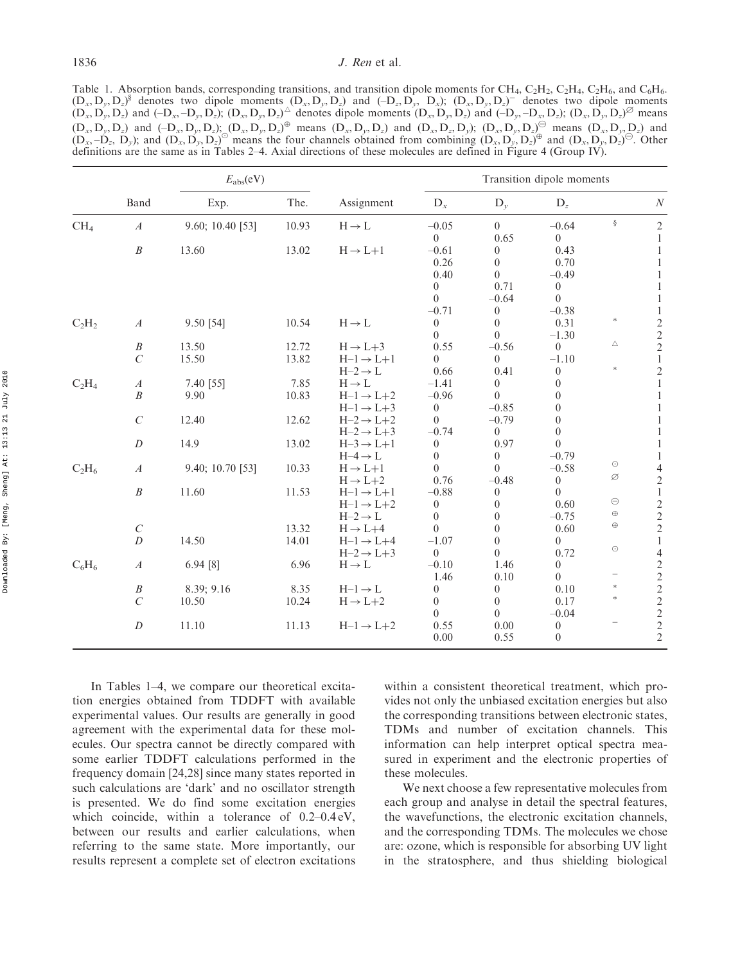Table 1. Absorption bands, corresponding transitions, and transition dipole moments for CH<sub>4</sub>, C<sub>2</sub>H<sub>2</sub>, C<sub>2</sub>H<sub>4</sub>, C<sub>2</sub>H<sub>6</sub>, and C<sub>6</sub>H<sub>6</sub>.  $(D_x, D_y, D_z)^s$  denotes two dipole moments  $(D_x, D_y, D_z)$  and  $(-D_z, D_y, D_x)$ ;  $(D_x, D_y, D_z)^-$  denotes two dipole moments  $(D_x, D_y, D_z)$  and  $(-D_x, -D_y, D_z)$ ;  $(D_x, D_y, D_z)^{\Delta}$  denotes dipole moments  $(D_x, D_y, D_z)$  and  $(-D_y, -D_x, D_z)$ ;  $(D_x, D_y, D_z)^{\beta}$  means  $(D_x, D_y, D_z)$  and  $(-D_x, D_y, D_z)$ ;  $(D_x, D_y, D_z)$ <sup> $\oplus$ </sup> means  $(D_x, D_y, D_z)$  and  $(D_x, D_z, D_y)$ ;  $(D_x, D_y, D_z)$ <sup> $\oplus$ </sup> means  $(D_x, D_y, D_z)$  and  $(D_x, D_y, D_z)$  and  $(D_x, D_y, D_z)$  means the four channels obtained from combining  $(D_x, D_y, D_z)$  and  $(D_x, D_y, D_z)$ . Other definitions are the same as in Tables 2–4. Axial directions of these molecules are defined in Figure 4 (Group IV).

|                 |                  | $E_{\rm abs}(eV)$ |       |                       | Transition dipole moments |                  |                  |                                                                                                                 |                                                 |
|-----------------|------------------|-------------------|-------|-----------------------|---------------------------|------------------|------------------|-----------------------------------------------------------------------------------------------------------------|-------------------------------------------------|
|                 | Band             | Exp.              | The.  | Assignment            | $D_x$                     | $D_{\nu}$        | $D_z$            |                                                                                                                 | $\cal N$                                        |
| CH <sub>4</sub> | $\boldsymbol{A}$ | 9.60; 10.40 [53]  | 10.93 | $H \rightarrow L$     | $-0.05$                   | $\overline{0}$   | $-0.64$          | ş                                                                                                               | $\mathbf{2}$                                    |
|                 |                  |                   |       |                       | $\theta$                  | 0.65             | $\overline{0}$   |                                                                                                                 | 1                                               |
|                 | $\boldsymbol{B}$ | 13.60             | 13.02 | $H \rightarrow L+1$   | $-0.61$                   | $\theta$         | 0.43             |                                                                                                                 | 1                                               |
|                 |                  |                   |       |                       | 0.26                      | $\theta$         | 0.70             |                                                                                                                 |                                                 |
|                 |                  |                   |       |                       | 0.40                      | $\theta$         | $-0.49$          |                                                                                                                 |                                                 |
|                 |                  |                   |       |                       | $\boldsymbol{0}$          | 0.71             | $\boldsymbol{0}$ |                                                                                                                 |                                                 |
|                 |                  |                   |       |                       | $\theta$                  | $-0.64$          | $\theta$         |                                                                                                                 | 1                                               |
|                 |                  |                   |       |                       | $-0.71$                   | $\theta$         | $-0.38$          |                                                                                                                 | 1                                               |
| $C_2H_2$        | $\boldsymbol{A}$ | 9.50 [54]         | 10.54 | $H\to L$              | $\boldsymbol{0}$          | $\theta$         | 0.31             | $\ast$<br>Δ<br>$\ast$<br>$_{\odot}$<br>Ø<br>$\ominus$<br>$\oplus$<br>$\oplus$<br>$_{\odot}$<br>$\ast$<br>$\ast$ |                                                 |
|                 |                  |                   |       |                       | $\theta$                  | $\theta$         | $-1.30$          |                                                                                                                 |                                                 |
|                 | $\boldsymbol{B}$ | 13.50             | 12.72 | $H \rightarrow L+3$   | 0.55                      | $-0.56$          | $\theta$         |                                                                                                                 | $\begin{array}{c} 2 \\ 2 \\ 2 \\ 1 \end{array}$ |
|                 | $\cal C$         | 15.50             | 13.82 | $H-1 \rightarrow L+1$ | $\overline{0}$            | $\boldsymbol{0}$ | $-1.10$          |                                                                                                                 |                                                 |
|                 |                  |                   |       | $H-2 \rightarrow L$   | 0.66                      | 0.41             | $\boldsymbol{0}$ |                                                                                                                 | $\overline{c}$                                  |
| $C_2H_4$        | $\boldsymbol{A}$ | 7.40 [55]         | 7.85  | $H \rightarrow L$     | $-1.41$                   | $\theta$         | $\theta$         |                                                                                                                 | $\mathbf{1}$                                    |
|                 | $\boldsymbol{B}$ | 9.90              | 10.83 | $H-1 \rightarrow L+2$ | $-0.96$                   | $\theta$         | $\theta$         |                                                                                                                 | 1                                               |
|                 |                  |                   |       | $H-1 \rightarrow L+3$ | $\boldsymbol{0}$          | $-0.85$          | $\theta$         |                                                                                                                 |                                                 |
|                 | $\mathcal{C}$    | 12.40             | 12.62 | $H-2 \rightarrow L+2$ | $\theta$                  | $-0.79$          | $\theta$         |                                                                                                                 |                                                 |
|                 |                  |                   |       | $H-2 \rightarrow L+3$ | $-0.74$                   | $\theta$         | $\theta$         |                                                                                                                 |                                                 |
|                 | $\boldsymbol{D}$ | 14.9              | 13.02 | $H-3 \rightarrow L+1$ | $\boldsymbol{0}$          | 0.97             | $\Omega$         |                                                                                                                 | 1                                               |
|                 |                  |                   |       | $H-4 \rightarrow L$   | $\boldsymbol{0}$          | $\boldsymbol{0}$ | $-0.79$          |                                                                                                                 | 1                                               |
| $C_2H_6$        | $\boldsymbol{A}$ | 9.40; 10.70 [53]  | 10.33 | $H \rightarrow L+1$   | $\theta$                  | $\theta$         | $-0.58$          |                                                                                                                 | 4                                               |
|                 |                  |                   |       | $H \rightarrow L+2$   | 0.76                      | $-0.48$          | $\theta$         |                                                                                                                 | $\sqrt{2}$                                      |
|                 | $\boldsymbol{B}$ | 11.60             | 11.53 | $H-1 \rightarrow L+1$ | $-0.88$                   | $\theta$         | $\theta$         |                                                                                                                 | $\,1\,$                                         |
|                 |                  |                   |       | $H-1 \rightarrow L+2$ | $\boldsymbol{0}$          | $\theta$         | 0.60             |                                                                                                                 |                                                 |
|                 |                  |                   |       | $H-2 \rightarrow L$   | $\theta$                  | $\theta$         | $-0.75$          |                                                                                                                 | $\begin{array}{c} 2 \\ 2 \\ 2 \end{array}$      |
|                 | $\cal C$         |                   | 13.32 | $H \rightarrow L+4$   | $\theta$                  | $\theta$         | 0.60             |                                                                                                                 |                                                 |
|                 | $\boldsymbol{D}$ | 14.50             | 14.01 | $H-1 \rightarrow L+4$ | $-1.07$                   | $\theta$         | $\overline{0}$   |                                                                                                                 | $\mathbf{1}$                                    |
|                 |                  |                   |       | $H-2 \rightarrow L+3$ | $\theta$                  | $\theta$         | 0.72             |                                                                                                                 | $\overline{\mathcal{L}}$                        |
| $C_6H_6$        | $\boldsymbol{A}$ | 6.94 [8]          | 6.96  | $H\to L$              | $-0.10$                   | 1.46             | $\boldsymbol{0}$ |                                                                                                                 |                                                 |
|                 |                  |                   |       |                       | 1.46                      | 0.10             | $\theta$         |                                                                                                                 |                                                 |
|                 | $\boldsymbol{B}$ | 8.39; 9.16        | 8.35  | $H-1 \rightarrow L$   | $\mathbf{0}$              | $\boldsymbol{0}$ | 0.10             |                                                                                                                 |                                                 |
|                 | $\mathcal{C}$    | 10.50             | 10.24 | $H \rightarrow L+2$   | $\theta$                  | $\theta$         | 0.17             |                                                                                                                 |                                                 |
|                 |                  |                   |       |                       | $\theta$                  | $\theta$         | $-0.04$          |                                                                                                                 | $2222$<br>$222$                                 |
|                 | $\cal D$         | 11.10             | 11.13 | $H-1 \rightarrow L+2$ | 0.55                      | 0.00             | $\boldsymbol{0}$ |                                                                                                                 |                                                 |
|                 |                  |                   |       |                       | 0.00                      | 0.55             | $\boldsymbol{0}$ |                                                                                                                 | $\overline{2}$                                  |

In Tables 1–4, we compare our theoretical excitation energies obtained from TDDFT with available experimental values. Our results are generally in good agreement with the experimental data for these molecules. Our spectra cannot be directly compared with some earlier TDDFT calculations performed in the frequency domain [24,28] since many states reported in such calculations are 'dark' and no oscillator strength is presented. We do find some excitation energies which coincide, within a tolerance of 0.2–0.4 eV, between our results and earlier calculations, when referring to the same state. More importantly, our results represent a complete set of electron excitations

within a consistent theoretical treatment, which provides not only the unbiased excitation energies but also the corresponding transitions between electronic states, TDMs and number of excitation channels. This information can help interpret optical spectra measured in experiment and the electronic properties of these molecules.

We next choose a few representative molecules from each group and analyse in detail the spectral features, the wavefunctions, the electronic excitation channels, and the corresponding TDMs. The molecules we chose are: ozone, which is responsible for absorbing UV light in the stratosphere, and thus shielding biological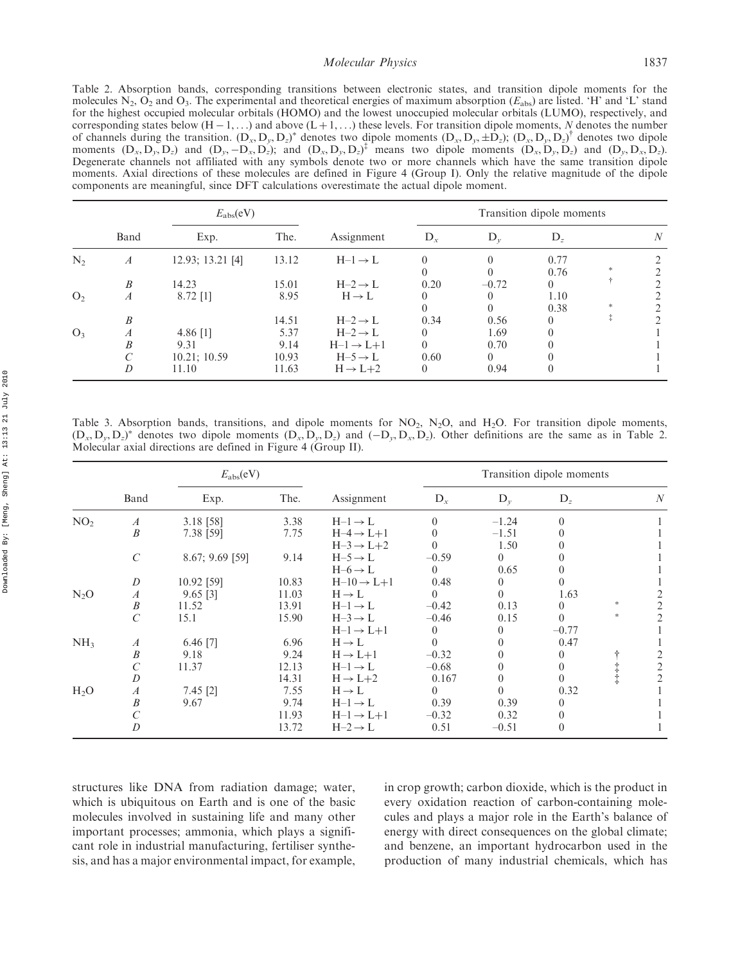## Molecular *Physics* 1837

Table 2. Absorption bands, corresponding transitions between electronic states, and transition dipole moments for the molecules  $N_2$ ,  $O_2$  and  $O_3$ . The experimental and theoretical energies of maximum absorption ( $E_{abs}$ ) are listed. 'H' and 'L' stand for the highest occupied molecular orbitals (HOMO) and the lowest unoccupied molecular orbitals (LUMO), respectively, and corresponding states below  $(H - 1, ...)$  and above  $(L + 1, ...)$  these levels. For transition dipole moments, N denotes the number of channels during the transition.  $(D_x, D_y, D_z)^*$  denotes two dipole moments  $(D_x, D_y, \pm D_z)$ ;  $(D_x, D_y, D_z)^{\dagger}$  denotes two dipole moments  $(D_x, D_y, D_z)$  and  $(D_y, -D_x, D_z)$ ; and  $(D_x, D_y, D_z)^{\dagger}$  means two dipole moments  $(D_x, D_y, D_z)$  and  $(D_y, D_x, D_z)$ . Degenerate channels not affiliated with any symbols denote two or more channels which have the same transition dipole moments. Axial directions of these molecules are defined in Figure 4 (Group I). Only the relative magnitude of the dipole components are meaningful, since DFT calculations overestimate the actual dipole moment.

|                | $E_{\rm abs}(eV)$     |                                    |                       |                                                                     |                              | Transition dipole moments |              |            |   |  |
|----------------|-----------------------|------------------------------------|-----------------------|---------------------------------------------------------------------|------------------------------|---------------------------|--------------|------------|---|--|
|                | Band                  | Exp.                               | The.                  | Assignment                                                          | $D_{r}$                      | $D_{\nu}$                 | $D_{\tau}$   |            | N |  |
| $N_2$          | $\boldsymbol{A}$      | 12.93; 13.21 [4]                   | 13.12                 | $H-1 \rightarrow L$                                                 | $\Omega$<br>$\theta$         |                           | 0.77<br>0.76 | *          |   |  |
|                | B                     | 14.23                              | 15.01                 | $H-2 \rightarrow L$                                                 | 0.20                         | $-0.72$                   | $\left($     | ÷          |   |  |
| O <sub>2</sub> | $\boldsymbol{A}$      | $8.72$ [1]                         | 8.95                  | $H \rightarrow L$                                                   | $\theta$<br>$\Omega$         |                           | 1.10<br>0.38 |            |   |  |
|                | $\boldsymbol{B}$      |                                    | 14.51                 | $H-2 \rightarrow L$                                                 | 0.34                         | 0.56                      |              | $\ddagger$ |   |  |
| $O_3$          | $\boldsymbol{A}$<br>B | 4.86 $[1]$<br>9.31<br>10.21; 10.59 | 5.37<br>9.14<br>10.93 | $H-2 \rightarrow L$<br>$H-1 \rightarrow L+1$<br>$H-5 \rightarrow L$ | $\Omega$<br>$\theta$<br>0.60 | 1.69<br>0.70<br>$\Omega$  |              |            |   |  |
|                | D                     | 11.10                              | 11.63                 | $H \rightarrow L+2$                                                 | $\Omega$                     | 0.94                      |              |            |   |  |

Table 3. Absorption bands, transitions, and dipole moments for  $NO_2$ ,  $N_2O$ , and  $H_2O$ . For transition dipole moments,  $(D_x, D_y, D_z)^*$  denotes two dipole moments  $(D_x, D_y, D_z)$  and  $(-D_y, D_x, D_z)$ . Other definitions are the same as in Table 2. Molecular axial directions are defined in Figure 4 (Group II).

|                 |                         | $E_{\rm abs}(eV)$ |       |                                                | Transition dipole moments |                  |                     |     |   |
|-----------------|-------------------------|-------------------|-------|------------------------------------------------|---------------------------|------------------|---------------------|-----|---|
|                 | Band                    | Exp.              | The.  | Assignment                                     | $D_x$                     | $D_{\nu}$        | $D_z$               |     | N |
| NO <sub>2</sub> | $\boldsymbol{A}$        | 3.18 [58]         | 3.38  | $H-1 \rightarrow L$                            | $\Omega$                  | $-1.24$          | $\Omega$            |     |   |
|                 | $\boldsymbol{B}$        | 7.38 [59]         | 7.75  | $H-4 \rightarrow L+1$<br>$H-3 \rightarrow L+2$ |                           | $-1.51$<br>1.50  |                     |     |   |
|                 | $\mathcal{C}_{0}^{(n)}$ | $8.67; 9.69$ [59] | 9.14  | $H-5 \rightarrow L$<br>$H-6 \rightarrow L$     | $-0.59$<br>$\theta$       | $\theta$<br>0.65 |                     |     |   |
|                 | D                       | 10.92 [59]        | 10.83 | $H-10 \rightarrow L+1$                         | 0.48                      | 0                |                     |     |   |
| $N_2O$          | $\boldsymbol{A}$        | $9.65$ [3]        | 11.03 | $H \rightarrow L$                              | $\Omega$                  | $\Omega$         | 1.63                |     |   |
|                 | $\boldsymbol{B}$        | 11.52             | 13.91 | $H-1 \rightarrow L$                            | $-0.42$                   | 0.13             | $\theta$            | $*$ | 2 |
|                 | $\mathcal{C}_{0}^{(n)}$ | 15.1              | 15.90 | $H-3 \rightarrow L$<br>$H-1 \rightarrow L+1$   | $-0.46$<br>$\left($       | 0.15<br>0        | $\theta$<br>$-0.77$ | $*$ | 2 |
| NH <sub>3</sub> | $\boldsymbol{A}$        | $6.46$ [7]        | 6.96  | $H \rightarrow L$                              | $\Omega$                  | 0                | 0.47                |     |   |
|                 | $\boldsymbol{B}$        | 9.18              | 9.24  | $H \rightarrow L+1$                            | $-0.32$                   | 0                |                     |     |   |
|                 | C                       | 11.37             | 12.13 | $H-1 \rightarrow L$                            | $-0.68$                   | 0                | 0                   |     | 2 |
|                 | D                       |                   | 14.31 | $H \rightarrow L+2$                            | 0.167                     | 0                | $\Omega$            |     |   |
| $H_2O$          | $\boldsymbol{A}$        | $7.45$ [2]        | 7.55  | $H \rightarrow L$                              | $\Omega$                  | 0                | 0.32                |     |   |
|                 | $\boldsymbol{B}$        | 9.67              | 9.74  | $H-1 \rightarrow L$                            | 0.39                      | 0.39             | $\Omega$            |     |   |
|                 | C                       |                   | 11.93 | $H-1 \rightarrow L+1$                          | $-0.32$                   | 0.32             |                     |     |   |
|                 | D                       |                   | 13.72 | $H-2 \rightarrow L$                            | 0.51                      | $-0.51$          | $\theta$            |     |   |

structures like DNA from radiation damage; water, which is ubiquitous on Earth and is one of the basic molecules involved in sustaining life and many other important processes; ammonia, which plays a significant role in industrial manufacturing, fertiliser synthesis, and has a major environmental impact, for example,

in crop growth; carbon dioxide, which is the product in every oxidation reaction of carbon-containing molecules and plays a major role in the Earth's balance of energy with direct consequences on the global climate; and benzene, an important hydrocarbon used in the production of many industrial chemicals, which has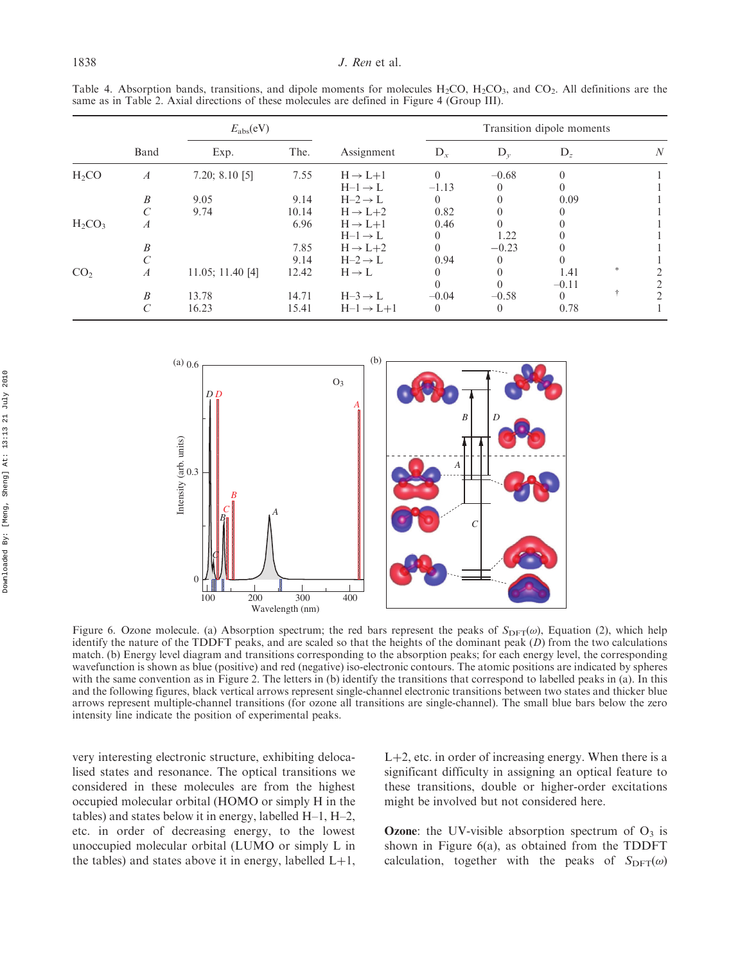Table 4. Absorption bands, transitions, and dipole moments for molecules  $H_2CO$ ,  $H_2CO_3$ , and  $CO_2$ . All definitions are the same as in Table 2. Axial directions of these molecules are defined in Figure 4 (Group III).

|                 |                  | $E_{\rm abs}(eV)$ |       |                       | Transition dipole moments |           |          |               |   |  |
|-----------------|------------------|-------------------|-------|-----------------------|---------------------------|-----------|----------|---------------|---|--|
|                 | Band             | Exp.              | The.  | Assignment            | $D_x$                     | $D_{\nu}$ | $D_z$    |               | N |  |
| $H_2CO$         | $\boldsymbol{A}$ | 7.20; 8.10 $[5]$  | 7.55  | $H \rightarrow L+1$   | $\Omega$                  | $-0.68$   | $\Omega$ |               |   |  |
|                 |                  |                   |       | $H-1 \rightarrow L$   | $-1.13$                   | $\theta$  |          |               |   |  |
|                 | B                | 9.05              | 9.14  | $H-2 \rightarrow L$   | $\theta$                  |           | 0.09     |               |   |  |
|                 |                  | 9.74              | 10.14 | $H \rightarrow L+2$   | 0.82                      |           | 0        |               |   |  |
| $H_2CO_3$       | $\boldsymbol{A}$ |                   | 6.96  | $H \rightarrow L+1$   | 0.46                      |           |          |               |   |  |
|                 |                  |                   |       | $H-1 \rightarrow L$   | 0                         | 1.22      |          |               |   |  |
|                 | B                |                   | 7.85  | $H \rightarrow L+2$   | $\Omega$                  | $-0.23$   |          |               |   |  |
|                 |                  |                   | 9.14  | $H-2 \rightarrow L$   | 0.94                      | $\theta$  |          |               |   |  |
| CO <sub>2</sub> | $\boldsymbol{A}$ | 11.05; 11.40 [4]  | 12.42 | $H \rightarrow L$     | 0                         | $\Omega$  | 1.41     | $\frac{1}{2}$ |   |  |
|                 |                  |                   |       |                       | $\Omega$                  | $\Omega$  | $-0.11$  |               |   |  |
|                 | B                | 13.78             | 14.71 | $H-3 \rightarrow L$   | $-0.04$                   | $-0.58$   | $\theta$ | ÷             |   |  |
|                 |                  | 16.23             | 15.41 | $H-1 \rightarrow L+1$ | $\theta$                  | $\theta$  | 0.78     |               |   |  |



Figure 6. Ozone molecule. (a) Absorption spectrum; the red bars represent the peaks of  $S_{\text{DFT}}(\omega)$ , Equation (2), which help identify the nature of the TDDFT peaks, and are scaled so that the heights of the dominant peak  $(D)$  from the two calculations match. (b) Energy level diagram and transitions corresponding to the absorption peaks; for each energy level, the corresponding wavefunction is shown as blue (positive) and red (negative) iso-electronic contours. The atomic positions are indicated by spheres with the same convention as in Figure 2. The letters in (b) identify the transitions that correspond to labelled peaks in (a). In this and the following figures, black vertical arrows represent single-channel electronic transitions between two states and thicker blue arrows represent multiple-channel transitions (for ozone all transitions are single-channel). The small blue bars below the zero intensity line indicate the position of experimental peaks.

very interesting electronic structure, exhibiting delocalised states and resonance. The optical transitions we considered in these molecules are from the highest occupied molecular orbital (HOMO or simply H in the tables) and states below it in energy, labelled H–1, H–2, etc. in order of decreasing energy, to the lowest unoccupied molecular orbital (LUMO or simply L in the tables) and states above it in energy, labelled  $L+1$ ,

 $L+2$ , etc. in order of increasing energy. When there is a significant difficulty in assigning an optical feature to these transitions, double or higher-order excitations might be involved but not considered here.

**Ozone:** the UV-visible absorption spectrum of  $O_3$  is shown in Figure 6(a), as obtained from the TDDFT calculation, together with the peaks of  $S_{\text{DFT}}(\omega)$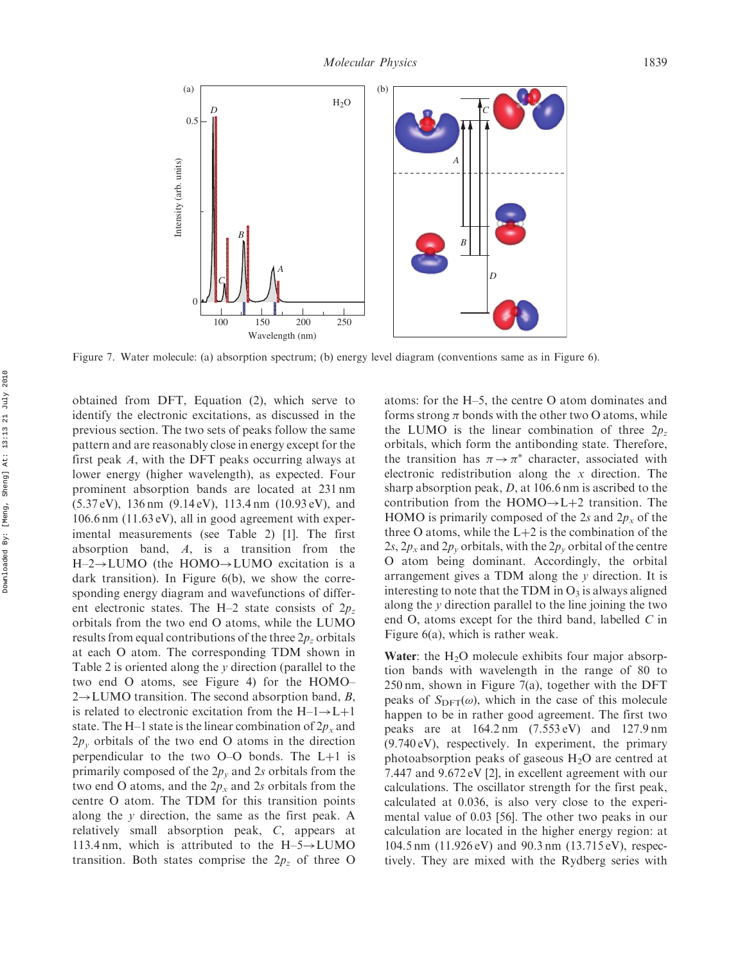

Figure 7. Water molecule: (a) absorption spectrum; (b) energy level diagram (conventions same as in Figure 6).

obtained from DFT, Equation (2), which serve to identify the electronic excitations, as discussed in the previous section. The two sets of peaks follow the same pattern and are reasonably close in energy except for the first peak A, with the DFT peaks occurring always at lower energy (higher wavelength), as expected. Four prominent absorption bands are located at 231 nm (5.37 eV), 136 nm (9.14 eV), 113.4 nm (10.93 eV), and 106.6 nm (11.63 eV), all in good agreement with experimental measurements (see Table 2) [1]. The first absorption band,  $A$ , is a transition from the  $H=2 \rightarrow LUMO$  (the HOMO $\rightarrow LUMO$  excitation is a dark transition). In Figure 6(b), we show the corresponding energy diagram and wavefunctions of different electronic states. The H–2 state consists of  $2p_z$ orbitals from the two end O atoms, while the LUMO results from equal contributions of the three  $2p<sub>z</sub>$  orbitals at each O atom. The corresponding TDM shown in Table 2 is oriented along the y direction (parallel to the two end O atoms, see Figure 4) for the HOMO–  $2 \rightarrow$  LUMO transition. The second absorption band, B, is related to electronic excitation from the  $H-1 \rightarrow L+1$ state. The H–1 state is the linear combination of  $2p_x$  and  $2p_y$  orbitals of the two end O atoms in the direction perpendicular to the two  $O-O$  bonds. The  $L+1$  is primarily composed of the  $2p_y$  and 2s orbitals from the two end O atoms, and the  $2p_x$  and 2s orbitals from the centre O atom. The TDM for this transition points along the y direction, the same as the first peak. A relatively small absorption peak, C, appears at 113.4 nm, which is attributed to the  $H-5 \rightarrow LUMO$ transition. Both states comprise the  $2p<sub>z</sub>$  of three O

atoms: for the H–5, the centre O atom dominates and forms strong  $\pi$  bonds with the other two O atoms, while the LUMO is the linear combination of three  $2p<sub>z</sub>$ orbitals, which form the antibonding state. Therefore, the transition has  $\pi \rightarrow \pi^*$  character, associated with electronic redistribution along the  $x$  direction. The sharp absorption peak, D, at 106.6 nm is ascribed to the contribution from the  $HOMO \rightarrow L+2$  transition. The HOMO is primarily composed of the 2s and  $2p_x$  of the three O atoms, while the  $L+2$  is the combination of the 2s,  $2p_x$  and  $2p_y$  orbitals, with the  $2p_y$  orbital of the centre O atom being dominant. Accordingly, the orbital arrangement gives a TDM along the  $y$  direction. It is interesting to note that the TDM in  $O_3$  is always aligned along the y direction parallel to the line joining the two end O, atoms except for the third band, labelled C in Figure 6(a), which is rather weak.

Water: the  $H<sub>2</sub>O$  molecule exhibits four major absorption bands with wavelength in the range of 80 to 250 nm, shown in Figure 7(a), together with the DFT peaks of  $S_{\text{DFT}}(\omega)$ , which in the case of this molecule happen to be in rather good agreement. The first two peaks are at 164.2 nm (7.553 eV) and 127.9 nm (9.740 eV), respectively. In experiment, the primary photoabsorption peaks of gaseous  $H_2O$  are centred at 7.447 and 9.672 eV [2], in excellent agreement with our calculations. The oscillator strength for the first peak, calculated at 0.036, is also very close to the experimental value of 0.03 [56]. The other two peaks in our calculation are located in the higher energy region: at 104.5 nm (11.926 eV) and 90.3 nm (13.715 eV), respectively. They are mixed with the Rydberg series with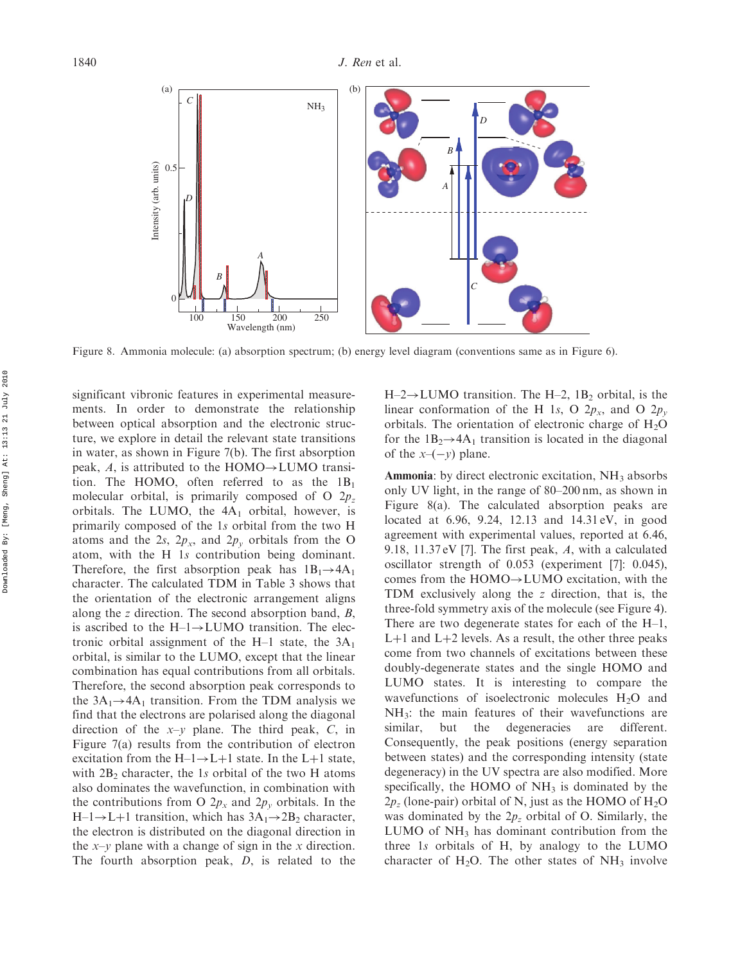

Figure 8. Ammonia molecule: (a) absorption spectrum; (b) energy level diagram (conventions same as in Figure 6).

significant vibronic features in experimental measurements. In order to demonstrate the relationship between optical absorption and the electronic structure, we explore in detail the relevant state transitions in water, as shown in Figure 7(b). The first absorption peak, A, is attributed to the HOMO $\rightarrow$ LUMO transition. The HOMO, often referred to as the  $1B_1$ molecular orbital, is primarily composed of O  $2p_z$ orbitals. The LUMO, the  $4A<sub>1</sub>$  orbital, however, is primarily composed of the 1s orbital from the two H atoms and the 2s,  $2p_x$ , and  $2p_y$  orbitals from the O atom, with the H 1s contribution being dominant. Therefore, the first absorption peak has  $1B_1 \rightarrow 4A_1$ character. The calculated TDM in Table 3 shows that the orientation of the electronic arrangement aligns along the z direction. The second absorption band, B, is ascribed to the  $H-I \rightarrow LUMO$  transition. The electronic orbital assignment of the H–1 state, the  $3A_1$ orbital, is similar to the LUMO, except that the linear combination has equal contributions from all orbitals. Therefore, the second absorption peak corresponds to the  $3A_1 \rightarrow 4A_1$  transition. From the TDM analysis we find that the electrons are polarised along the diagonal direction of the  $x-y$  plane. The third peak, C, in Figure 7(a) results from the contribution of electron excitation from the  $H-1 \rightarrow L+1$  state. In the L+1 state, with  $2B_2$  character, the 1s orbital of the two H atoms also dominates the wavefunction, in combination with the contributions from O  $2p_x$  and  $2p_y$  orbitals. In the  $H-1 \rightarrow L+1$  transition, which has  $3A_1 \rightarrow 2B_2$  character, the electron is distributed on the diagonal direction in the  $x-y$  plane with a change of sign in the x direction. The fourth absorption peak, D, is related to the  $H-2 \rightarrow LUMO$  transition. The H-2, 1B<sub>2</sub> orbital, is the linear conformation of the H 1s, O  $2p_x$ , and O  $2p_y$ orbitals. The orientation of electronic charge of  $H_2O$ for the  $1B_2 \rightarrow 4A_1$  transition is located in the diagonal of the  $x-(-y)$  plane.

**Ammonia**: by direct electronic excitation,  $NH<sub>3</sub>$  absorbs only UV light, in the range of 80–200 nm, as shown in Figure 8(a). The calculated absorption peaks are located at 6.96, 9.24, 12.13 and 14.31 eV, in good agreement with experimental values, reported at 6.46, 9.18, 11.37 eV [7]. The first peak,  $A$ , with a calculated oscillator strength of 0.053 (experiment [7]: 0.045), comes from the  $HOMO \rightarrow LUMO$  excitation, with the TDM exclusively along the z direction, that is, the three-fold symmetry axis of the molecule (see Figure 4). There are two degenerate states for each of the H–1,  $L+1$  and  $L+2$  levels. As a result, the other three peaks come from two channels of excitations between these doubly-degenerate states and the single HOMO and LUMO states. It is interesting to compare the wavefunctions of isoelectronic molecules  $H_2O$  and NH3: the main features of their wavefunctions are similar, but the degeneracies are different. Consequently, the peak positions (energy separation between states) and the corresponding intensity (state degeneracy) in the UV spectra are also modified. More specifically, the HOMO of  $NH<sub>3</sub>$  is dominated by the  $2p_z$  (lone-pair) orbital of N, just as the HOMO of H<sub>2</sub>O was dominated by the  $2p_z$  orbital of O. Similarly, the LUMO of  $NH<sub>3</sub>$  has dominant contribution from the three 1s orbitals of H, by analogy to the LUMO character of  $H_2O$ . The other states of  $NH_3$  involve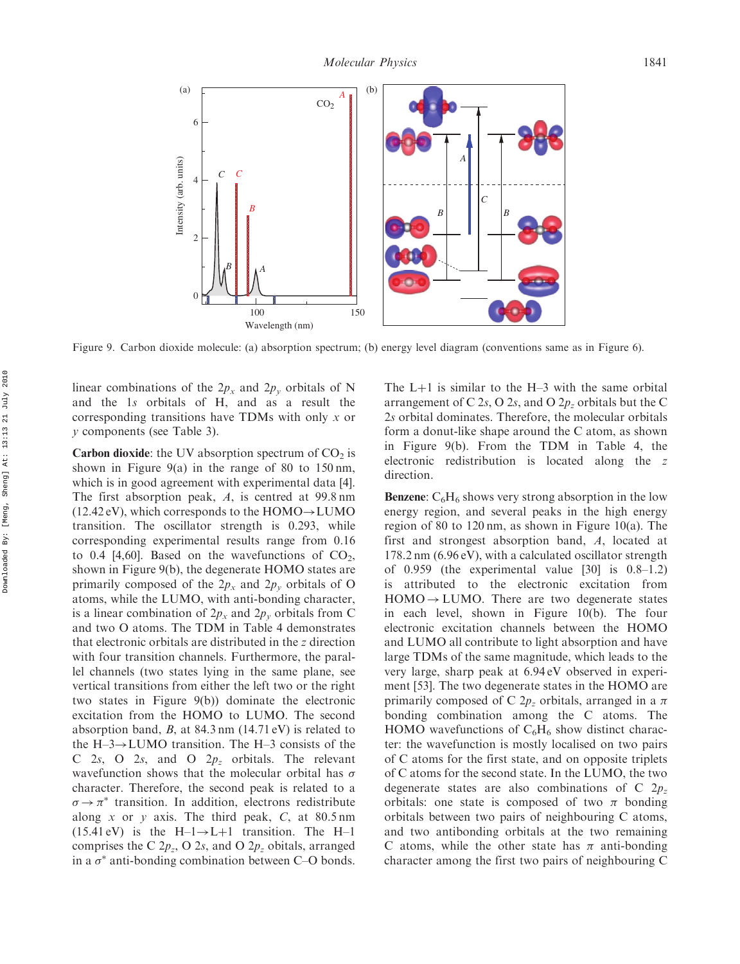

Figure 9. Carbon dioxide molecule: (a) absorption spectrum; (b) energy level diagram (conventions same as in Figure 6).

linear combinations of the  $2p_x$  and  $2p_y$  orbitals of N and the 1s orbitals of H, and as a result the corresponding transitions have TDMs with only x or y components (see Table 3).

**Carbon dioxide:** the UV absorption spectrum of  $CO<sub>2</sub>$  is shown in Figure 9(a) in the range of 80 to 150 nm, which is in good agreement with experimental data [4]. The first absorption peak, A, is centred at 99.8 nm  $(12.42 \text{ eV})$ , which corresponds to the HOMO $\rightarrow$ LUMO transition. The oscillator strength is 0.293, while corresponding experimental results range from 0.16 to 0.4 [4,60]. Based on the wavefunctions of  $CO<sub>2</sub>$ , shown in Figure 9(b), the degenerate HOMO states are primarily composed of the  $2p_x$  and  $2p_y$  orbitals of O atoms, while the LUMO, with anti-bonding character, is a linear combination of  $2p_x$  and  $2p_y$  orbitals from C and two O atoms. The TDM in Table 4 demonstrates that electronic orbitals are distributed in the z direction with four transition channels. Furthermore, the parallel channels (two states lying in the same plane, see vertical transitions from either the left two or the right two states in Figure 9(b)) dominate the electronic excitation from the HOMO to LUMO. The second absorption band,  $B$ , at 84.3 nm (14.71 eV) is related to the H–3 $\rightarrow$ LUMO transition. The H–3 consists of the C 2s, O 2s, and O  $2p_z$  orbitals. The relevant wavefunction shows that the molecular orbital has  $\sigma$ character. Therefore, the second peak is related to a  $\sigma \rightarrow \pi^*$  transition. In addition, electrons redistribute along x or y axis. The third peak,  $C$ , at 80.5 nm  $(15.41 \text{ eV})$  is the H-1 $\rightarrow$ L+1 transition. The H-1 comprises the C  $2p_z$ , O  $2s$ , and O  $2p_z$  obitals, arranged in a  $\sigma^*$  anti-bonding combination between C–O bonds.

The  $L+1$  is similar to the H–3 with the same orbital arrangement of C 2s, O 2s, and O  $2p_z$  orbitals but the C 2s orbital dominates. Therefore, the molecular orbitals form a donut-like shape around the C atom, as shown in Figure 9(b). From the TDM in Table 4, the electronic redistribution is located along the z direction.

**Benzene:**  $C_6H_6$  shows very strong absorption in the low energy region, and several peaks in the high energy region of 80 to 120 nm, as shown in Figure 10(a). The first and strongest absorption band, A, located at 178.2 nm (6.96 eV), with a calculated oscillator strength of  $0.959$  (the experimental value [30] is  $0.8-1.2$ ) is attributed to the electronic excitation from  $HOMO \rightarrow LUMO$ . There are two degenerate states in each level, shown in Figure 10(b). The four electronic excitation channels between the HOMO and LUMO all contribute to light absorption and have large TDMs of the same magnitude, which leads to the very large, sharp peak at 6.94 eV observed in experiment [53]. The two degenerate states in the HOMO are primarily composed of C  $2p_z$  orbitals, arranged in a  $\pi$ bonding combination among the C atoms. The HOMO wavefunctions of  $C_6H_6$  show distinct character: the wavefunction is mostly localised on two pairs of C atoms for the first state, and on opposite triplets of C atoms for the second state. In the LUMO, the two degenerate states are also combinations of C  $2p<sub>z</sub>$ orbitals: one state is composed of two  $\pi$  bonding orbitals between two pairs of neighbouring C atoms, and two antibonding orbitals at the two remaining C atoms, while the other state has  $\pi$  anti-bonding character among the first two pairs of neighbouring C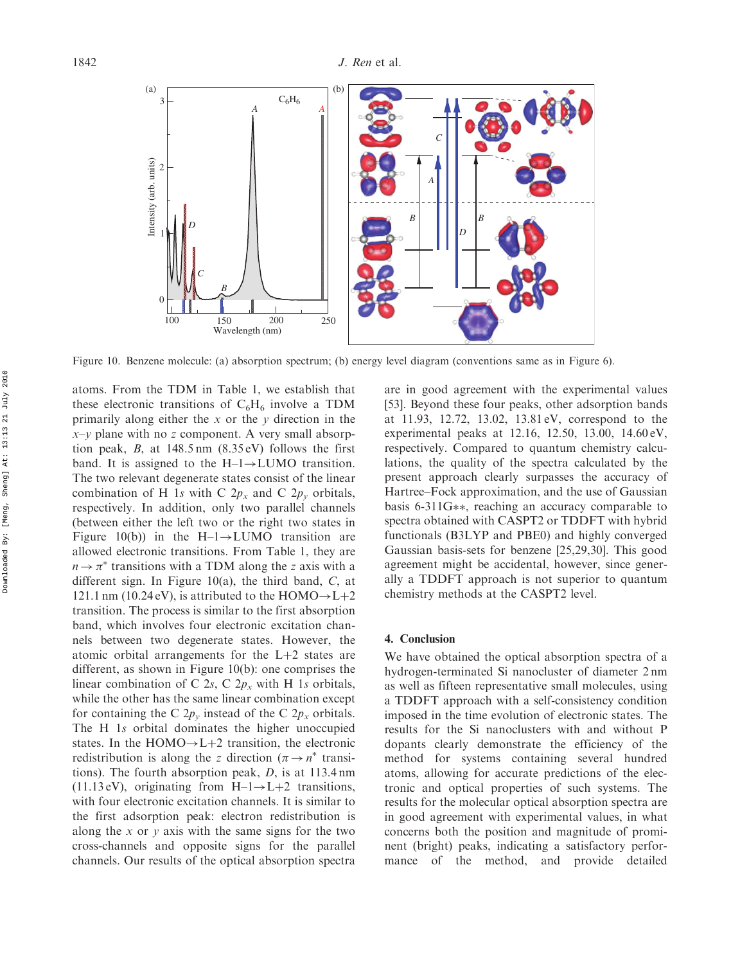

Figure 10. Benzene molecule: (a) absorption spectrum; (b) energy level diagram (conventions same as in Figure 6).

atoms. From the TDM in Table 1, we establish that these electronic transitions of  $C_6H_6$  involve a TDM primarily along either the x or the y direction in the  $x-y$  plane with no z component. A very small absorption peak, B, at  $148.5 \text{ nm}$  (8.35 eV) follows the first band. It is assigned to the  $H-1 \rightarrow LUMO$  transition. The two relevant degenerate states consist of the linear combination of H 1s with C  $2p_x$  and C  $2p_y$  orbitals, respectively. In addition, only two parallel channels (between either the left two or the right two states in Figure 10(b)) in the H-1 $\rightarrow$ LUMO transition are allowed electronic transitions. From Table 1, they are  $n \rightarrow \pi^*$  transitions with a TDM along the z axis with a different sign. In Figure 10(a), the third band, C, at 121.1 nm (10.24 eV), is attributed to the HOMO $\rightarrow$ L+2 transition. The process is similar to the first absorption band, which involves four electronic excitation channels between two degenerate states. However, the atomic orbital arrangements for the  $L+2$  states are different, as shown in Figure 10(b): one comprises the linear combination of C 2s, C  $2p_x$  with H 1s orbitals, while the other has the same linear combination except for containing the C  $2p_y$  instead of the C  $2p_x$  orbitals. The H 1s orbital dominates the higher unoccupied states. In the  $HOMO \rightarrow L+2$  transition, the electronic redistribution is along the z direction ( $\pi \rightarrow n^*$  transitions). The fourth absorption peak, D, is at 113.4 nm  $(11.13 \text{ eV})$ , originating from H-1 $\rightarrow$ L+2 transitions, with four electronic excitation channels. It is similar to the first adsorption peak: electron redistribution is along the x or y axis with the same signs for the two cross-channels and opposite signs for the parallel channels. Our results of the optical absorption spectra

are in good agreement with the experimental values [53]. Beyond these four peaks, other adsorption bands at 11.93, 12.72, 13.02, 13.81 eV, correspond to the experimental peaks at 12.16, 12.50, 13.00, 14.60 eV, respectively. Compared to quantum chemistry calculations, the quality of the spectra calculated by the present approach clearly surpasses the accuracy of Hartree–Fock approximation, and the use of Gaussian basis 6-311G\*\*, reaching an accuracy comparable to spectra obtained with CASPT2 or TDDFT with hybrid functionals (B3LYP and PBE0) and highly converged Gaussian basis-sets for benzene [25,29,30]. This good agreement might be accidental, however, since generally a TDDFT approach is not superior to quantum chemistry methods at the CASPT2 level.

#### 4. Conclusion

We have obtained the optical absorption spectra of a hydrogen-terminated Si nanocluster of diameter 2 nm as well as fifteen representative small molecules, using a TDDFT approach with a self-consistency condition imposed in the time evolution of electronic states. The results for the Si nanoclusters with and without P dopants clearly demonstrate the efficiency of the method for systems containing several hundred atoms, allowing for accurate predictions of the electronic and optical properties of such systems. The results for the molecular optical absorption spectra are in good agreement with experimental values, in what concerns both the position and magnitude of prominent (bright) peaks, indicating a satisfactory performance of the method, and provide detailed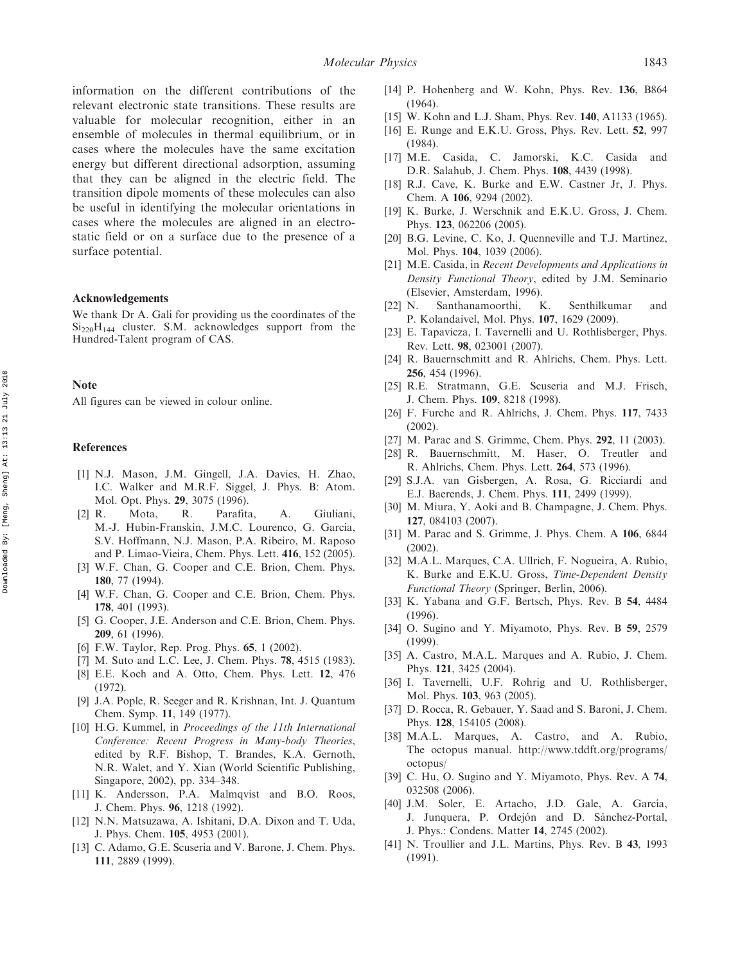information on the different contributions of the relevant electronic state transitions. These results are valuable for molecular recognition, either in an ensemble of molecules in thermal equilibrium, or in cases where the molecules have the same excitation energy but different directional adsorption, assuming that they can be aligned in the electric field. The transition dipole moments of these molecules can also be useful in identifying the molecular orientations in cases where the molecules are aligned in an electrostatic field or on a surface due to the presence of a surface potential.

## Acknowledgements

We thank Dr A. Gali for providing us the coordinates of the  $Si<sub>220</sub>H<sub>144</sub>$  cluster. S.M. acknowledges support from the Hundred-Talent program of CAS.

## Note

All figures can be viewed in colour online.

## References

- [1] N.J. Mason, J.M. Gingell, J.A. Davies, H. Zhao, I.C. Walker and M.R.F. Siggel, J. Phys. B: Atom. Mol. Opt. Phys. 29, 3075 (1996).
- [2] R. Mota, R. Parafita, A. Giuliani, M.-J. Hubin-Franskin, J.M.C. Lourenco, G. Garcia, S.V. Hoffmann, N.J. Mason, P.A. Ribeiro, M. Raposo and P. Limao-Vieira, Chem. Phys. Lett. 416, 152 (2005).
- [3] W.F. Chan, G. Cooper and C.E. Brion, Chem. Phys. 180, 77 (1994).
- [4] W.F. Chan, G. Cooper and C.E. Brion, Chem. Phys. 178, 401 (1993).
- [5] G. Cooper, J.E. Anderson and C.E. Brion, Chem. Phys. 209, 61 (1996).
- [6] F.W. Taylor, Rep. Prog. Phys. **65**, 1 (2002).
- [7] M. Suto and L.C. Lee, J. Chem. Phys. 78, 4515 (1983).
- [8] E.E. Koch and A. Otto, Chem. Phys. Lett. 12, 476 (1972).
- [9] J.A. Pople, R. Seeger and R. Krishnan, Int. J. Quantum Chem. Symp. 11, 149 (1977).
- [10] H.G. Kummel, in Proceedings of the 11th International Conference: Recent Progress in Many-body Theories, edited by R.F. Bishop, T. Brandes, K.A. Gernoth, N.R. Walet, and Y. Xian (World Scientific Publishing, Singapore, 2002), pp. 334–348.
- [11] K. Andersson, P.A. Malmqvist and B.O. Roos, J. Chem. Phys. 96, 1218 (1992).
- [12] N.N. Matsuzawa, A. Ishitani, D.A. Dixon and T. Uda, J. Phys. Chem. 105, 4953 (2001).
- [13] C. Adamo, G.E. Scuseria and V. Barone, J. Chem. Phys. 111, 2889 (1999).
- [14] P. Hohenberg and W. Kohn, Phys. Rev. 136, B864 (1964).
- [15] W. Kohn and L.J. Sham, Phys. Rev. 140, A1133 (1965).
- [16] E. Runge and E.K.U. Gross, Phys. Rev. Lett. 52, 997 (1984).
- [17] M.E. Casida, C. Jamorski, K.C. Casida and D.R. Salahub, J. Chem. Phys. 108, 4439 (1998).
- [18] R.J. Cave, K. Burke and E.W. Castner Jr, J. Phys. Chem. A 106, 9294 (2002).
- [19] K. Burke, J. Werschnik and E.K.U. Gross, J. Chem. Phys. 123, 062206 (2005).
- [20] B.G. Levine, C. Ko, J. Quenneville and T.J. Martinez, Mol. Phys. 104, 1039 (2006).
- [21] M.E. Casida, in Recent Developments and Applications in Density Functional Theory, edited by J.M. Seminario (Elsevier, Amsterdam, 1996).
- [22] N. Santhanamoorthi, K. Senthilkumar and P. Kolandaivel, Mol. Phys. 107, 1629 (2009).
- [23] E. Tapavicza, I. Tavernelli and U. Rothlisberger, Phys. Rev. Lett. 98, 023001 (2007).
- [24] R. Bauernschmitt and R. Ahlrichs, Chem. Phys. Lett. 256, 454 (1996).
- [25] R.E. Stratmann, G.E. Scuseria and M.J. Frisch, J. Chem. Phys. 109, 8218 (1998).
- [26] F. Furche and R. Ahlrichs, J. Chem. Phys. 117, 7433 (2002).
- [27] M. Parac and S. Grimme, Chem. Phys. 292, 11 (2003).
- [28] R. Bauernschmitt, M. Haser, O. Treutler and R. Ahlrichs, Chem. Phys. Lett. 264, 573 (1996).
- [29] S.J.A. van Gisbergen, A. Rosa, G. Ricciardi and E.J. Baerends, J. Chem. Phys. 111, 2499 (1999).
- [30] M. Miura, Y. Aoki and B. Champagne, J. Chem. Phys. 127, 084103 (2007).
- [31] M. Parac and S. Grimme, J. Phys. Chem. A 106, 6844 (2002).
- [32] M.A.L. Marques, C.A. Ullrich, F. Nogueira, A. Rubio, K. Burke and E.K.U. Gross, Time-Dependent Density Functional Theory (Springer, Berlin, 2006).
- [33] K. Yabana and G.F. Bertsch, Phys. Rev. B 54, 4484 (1996).
- [34] O. Sugino and Y. Miyamoto, Phys. Rev. B 59, 2579 (1999).
- [35] A. Castro, M.A.L. Marques and A. Rubio, J. Chem. Phys. 121, 3425 (2004).
- [36] I. Tavernelli, U.F. Rohrig and U. Rothlisberger, Mol. Phys. 103, 963 (2005).
- [37] D. Rocca, R. Gebauer, Y. Saad and S. Baroni, J. Chem. Phys. 128, 154105 (2008).
- [38] M.A.L. Marques, A. Castro, and A. Rubio, The octopus manual. http://www.tddft.org/programs/ octopus/
- [39] C. Hu, O. Sugino and Y. Miyamoto, Phys. Rev. A 74, 032508 (2006).
- [40] J.M. Soler, E. Artacho, J.D. Gale, A. García, J. Junquera, P. Ordejón and D. Sánchez-Portal, J. Phys.: Condens. Matter 14, 2745 (2002).
- [41] N. Troullier and J.L. Martins, Phys. Rev. B 43, 1993 (1991).